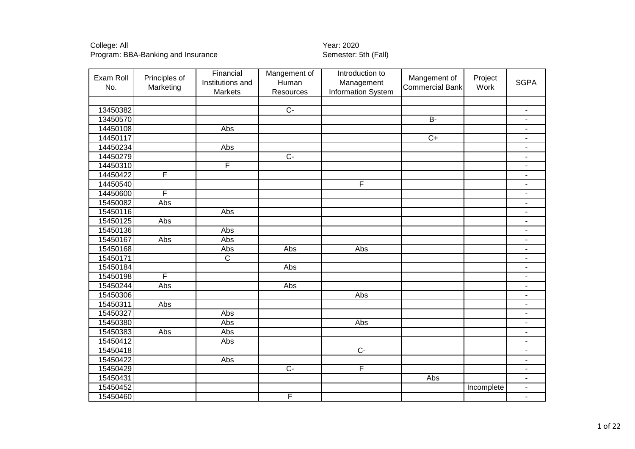| Exam Roll<br>No. | Principles of<br>Marketing | Financial<br>Institutions and<br>Markets | Mangement of<br>Human<br>Resources | Introduction to<br>Management<br>Information System | Mangement of<br><b>Commercial Bank</b> | Project<br>Work | <b>SGPA</b>              |
|------------------|----------------------------|------------------------------------------|------------------------------------|-----------------------------------------------------|----------------------------------------|-----------------|--------------------------|
|                  |                            |                                          |                                    |                                                     |                                        |                 |                          |
| 13450382         |                            |                                          | $\overline{C}$                     |                                                     |                                        |                 | $\overline{\phantom{a}}$ |
| 13450570         |                            |                                          |                                    |                                                     | $B -$                                  |                 | $\blacksquare$           |
| 14450108         |                            | Abs                                      |                                    |                                                     |                                        |                 | $\overline{\phantom{a}}$ |
| 14450117         |                            |                                          |                                    |                                                     | $\overline{C+}$                        |                 | $\overline{\phantom{a}}$ |
| 14450234         |                            | Abs                                      |                                    |                                                     |                                        |                 | $\overline{\phantom{a}}$ |
| 14450279         |                            |                                          | $\overline{C}$                     |                                                     |                                        |                 |                          |
| 14450310         |                            | $\overline{\mathsf{F}}$                  |                                    |                                                     |                                        |                 | $\blacksquare$           |
| 14450422         | F                          |                                          |                                    |                                                     |                                        |                 | $\blacksquare$           |
| 14450540         |                            |                                          |                                    | $\overline{F}$                                      |                                        |                 | $\overline{\phantom{a}}$ |
| 14450600         | F                          |                                          |                                    |                                                     |                                        |                 | $\overline{\phantom{a}}$ |
| 15450082         | Abs                        |                                          |                                    |                                                     |                                        |                 | $\overline{\phantom{a}}$ |
| 15450116         |                            | Abs                                      |                                    |                                                     |                                        |                 | $\overline{\phantom{a}}$ |
| 15450125         | Abs                        |                                          |                                    |                                                     |                                        |                 | $\overline{\phantom{a}}$ |
| 15450136         |                            | Abs                                      |                                    |                                                     |                                        |                 | $\blacksquare$           |
| 15450167         | Abs                        | Abs                                      |                                    |                                                     |                                        |                 | $\overline{\phantom{a}}$ |
| 15450168         |                            | Abs                                      | Abs                                | Abs                                                 |                                        |                 | $\overline{\phantom{a}}$ |
| 15450171         |                            | $\overline{\text{c}}$                    |                                    |                                                     |                                        |                 | $\blacksquare$           |
| 15450184         |                            |                                          | Abs                                |                                                     |                                        |                 | $\overline{\phantom{a}}$ |
| 15450198         | F                          |                                          |                                    |                                                     |                                        |                 | $\overline{\phantom{a}}$ |
| 15450244         | Abs                        |                                          | Abs                                |                                                     |                                        |                 | $\overline{\phantom{a}}$ |
| 15450306         |                            |                                          |                                    | Abs                                                 |                                        |                 | $\overline{\phantom{a}}$ |
| 15450311         | $\overline{Abs}$           |                                          |                                    |                                                     |                                        |                 |                          |
| 15450327         |                            | Abs                                      |                                    |                                                     |                                        |                 | $\overline{\phantom{a}}$ |
| 15450380         |                            | Abs                                      |                                    | Abs                                                 |                                        |                 |                          |
| 15450383         | $\overline{Abs}$           | Abs                                      |                                    |                                                     |                                        |                 | $\overline{\phantom{a}}$ |
| 15450412         |                            | Abs                                      |                                    |                                                     |                                        |                 | $\blacksquare$           |
| 15450418         |                            |                                          |                                    | $\overline{C}$                                      |                                        |                 | $\overline{\phantom{a}}$ |
| 15450422         |                            | Abs                                      |                                    |                                                     |                                        |                 | $\blacksquare$           |
| 15450429         |                            |                                          | $C -$                              | F                                                   |                                        |                 | $\blacksquare$           |
| 15450431         |                            |                                          |                                    |                                                     | Abs                                    |                 | $\blacksquare$           |
| 15450452         |                            |                                          |                                    |                                                     |                                        | Incomplete      | $\overline{\phantom{a}}$ |
| 15450460         |                            |                                          | F                                  |                                                     |                                        |                 | $\blacksquare$           |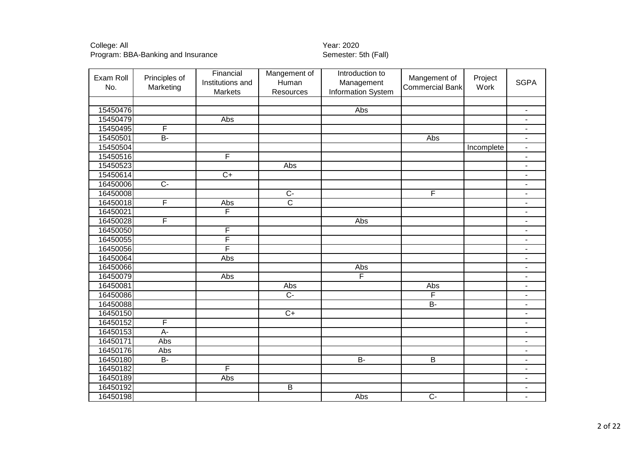| Exam Roll<br>No. | Principles of<br>Marketing | Financial<br>Institutions and<br>Markets | Mangement of<br>Human<br>Resources | Introduction to<br>Management<br>Information System | Mangement of<br><b>Commercial Bank</b> | Project<br>Work | <b>SGPA</b>              |
|------------------|----------------------------|------------------------------------------|------------------------------------|-----------------------------------------------------|----------------------------------------|-----------------|--------------------------|
|                  |                            |                                          |                                    |                                                     |                                        |                 |                          |
| 15450476         |                            |                                          |                                    | Abs                                                 |                                        |                 | $\blacksquare$           |
| 15450479         |                            | Abs                                      |                                    |                                                     |                                        |                 | $\overline{\phantom{a}}$ |
| 15450495         | F                          |                                          |                                    |                                                     |                                        |                 | $\overline{\phantom{a}}$ |
| 15450501         | $\overline{B}$             |                                          |                                    |                                                     | Abs                                    |                 | $\blacksquare$           |
| 15450504         |                            |                                          |                                    |                                                     |                                        | Incomplete      | $\blacksquare$           |
| 15450516         |                            | F                                        |                                    |                                                     |                                        |                 | L,                       |
| 15450523         |                            |                                          | Abs                                |                                                     |                                        |                 | $\overline{\phantom{0}}$ |
| 15450614         |                            | $\overline{C+}$                          |                                    |                                                     |                                        |                 | $\overline{\phantom{a}}$ |
| 16450006         | $\overline{C}$             |                                          |                                    |                                                     |                                        |                 | $\overline{\phantom{a}}$ |
| 16450008         |                            |                                          | $\overline{C}$                     |                                                     | F                                      |                 | $\overline{\phantom{a}}$ |
| 16450018         | F                          | Abs                                      | $\overline{\text{c}}$              |                                                     |                                        |                 | $\blacksquare$           |
| 16450021         |                            | $\overline{\mathsf{F}}$                  |                                    |                                                     |                                        |                 | $\blacksquare$           |
| 16450028         | F                          |                                          |                                    | Abs                                                 |                                        |                 | $\overline{a}$           |
| 16450050         |                            | F                                        |                                    |                                                     |                                        |                 | $\overline{\phantom{a}}$ |
| 16450055         |                            | F                                        |                                    |                                                     |                                        |                 | $\blacksquare$           |
| 16450056         |                            | F                                        |                                    |                                                     |                                        |                 | $\blacksquare$           |
| 16450064         |                            | Abs                                      |                                    |                                                     |                                        |                 | $\overline{\phantom{a}}$ |
| 16450066         |                            |                                          |                                    | Abs                                                 |                                        |                 | $\overline{\phantom{a}}$ |
| 16450079         |                            | Abs                                      |                                    | $\overline{\mathsf{F}}$                             |                                        |                 | $\overline{\phantom{a}}$ |
| 16450081         |                            |                                          | Abs                                |                                                     | Abs                                    |                 | $\blacksquare$           |
| 16450086         |                            |                                          | $\overline{C}$                     |                                                     | F                                      |                 | $\overline{\phantom{a}}$ |
| 16450088         |                            |                                          |                                    |                                                     | $B -$                                  |                 | $\blacksquare$           |
| 16450150         |                            |                                          | $C+$                               |                                                     |                                        |                 | $\blacksquare$           |
| 16450152         | F                          |                                          |                                    |                                                     |                                        |                 | $\overline{\phantom{a}}$ |
| 16450153         | $\overline{A}$             |                                          |                                    |                                                     |                                        |                 | $\blacksquare$           |
| 16450171         | Abs                        |                                          |                                    |                                                     |                                        |                 | $\overline{\phantom{a}}$ |
| 16450176         | Abs                        |                                          |                                    |                                                     |                                        |                 | $\overline{\phantom{a}}$ |
| 16450180         | $B -$                      |                                          |                                    | $B -$                                               | $\overline{B}$                         |                 | $\overline{\phantom{a}}$ |
| 16450182         |                            | F                                        |                                    |                                                     |                                        |                 | $\overline{\phantom{a}}$ |
| 16450189         |                            | Abs                                      |                                    |                                                     |                                        |                 | $\overline{\phantom{a}}$ |
| 16450192         |                            |                                          | $\overline{B}$                     |                                                     |                                        |                 | $\blacksquare$           |
| 16450198         |                            |                                          |                                    | Abs                                                 | $\overline{C}$                         |                 | $\blacksquare$           |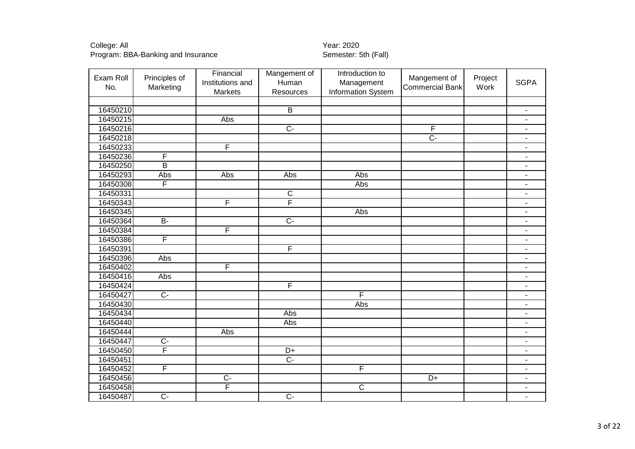| Exam Roll<br>No. | Principles of<br>Marketing | Financial<br>Institutions and<br>Markets | Mangement of<br>Human<br>Resources | Introduction to<br>Management<br>Information System | Mangement of<br><b>Commercial Bank</b> | Project<br>Work | <b>SGPA</b>              |
|------------------|----------------------------|------------------------------------------|------------------------------------|-----------------------------------------------------|----------------------------------------|-----------------|--------------------------|
|                  |                            |                                          |                                    |                                                     |                                        |                 |                          |
| 16450210         |                            |                                          | $\overline{B}$                     |                                                     |                                        |                 | $\blacksquare$           |
| 16450215         |                            | Abs                                      |                                    |                                                     |                                        |                 | $\blacksquare$           |
| 16450216         |                            |                                          | $\overline{C}$                     |                                                     | F                                      |                 | $\overline{\phantom{a}}$ |
| 16450218         |                            |                                          |                                    |                                                     | $\overline{C}$                         |                 | $\overline{\phantom{a}}$ |
| 16450233         |                            | F                                        |                                    |                                                     |                                        |                 | $\blacksquare$           |
| 16450236         | F                          |                                          |                                    |                                                     |                                        |                 | $\overline{\phantom{a}}$ |
| 16450250         | B                          |                                          |                                    |                                                     |                                        |                 | $\overline{\phantom{a}}$ |
| 16450293         | Abs                        | <b>Abs</b>                               | Abs                                | Abs                                                 |                                        |                 | $\overline{\phantom{a}}$ |
| 16450308         | F                          |                                          |                                    | Abs                                                 |                                        |                 | $\blacksquare$           |
| 16450331         |                            |                                          | $\overline{\mathsf{C}}$            |                                                     |                                        |                 | $\overline{\phantom{a}}$ |
| 16450343         |                            | F                                        | F                                  |                                                     |                                        |                 | $\overline{\phantom{a}}$ |
| 16450345         |                            |                                          |                                    | Abs                                                 |                                        |                 | $\overline{\phantom{a}}$ |
| 16450364         | $\overline{B}$             |                                          | $\overline{C}$                     |                                                     |                                        |                 | $\blacksquare$           |
| 16450384         |                            | F                                        |                                    |                                                     |                                        |                 | $\overline{\phantom{a}}$ |
| 16450386         | F                          |                                          |                                    |                                                     |                                        |                 | $\overline{\phantom{a}}$ |
| 16450391         |                            |                                          | F                                  |                                                     |                                        |                 | $\overline{\phantom{a}}$ |
| 16450396         | Abs                        |                                          |                                    |                                                     |                                        |                 | $\blacksquare$           |
| 16450402         |                            | F                                        |                                    |                                                     |                                        |                 | $\blacksquare$           |
| 16450416         | Abs                        |                                          |                                    |                                                     |                                        |                 | $\blacksquare$           |
| 16450424         |                            |                                          | F                                  |                                                     |                                        |                 | $\overline{\phantom{a}}$ |
| 16450427         | $\overline{C}$             |                                          |                                    | $\overline{\mathsf{F}}$                             |                                        |                 | $\overline{\phantom{a}}$ |
| 16450430         |                            |                                          |                                    | Abs                                                 |                                        |                 | $\overline{\phantom{a}}$ |
| 16450434         |                            |                                          | Abs                                |                                                     |                                        |                 | $\blacksquare$           |
| 16450440         |                            |                                          | Abs                                |                                                     |                                        |                 | ä,                       |
| 16450444         |                            | Abs                                      |                                    |                                                     |                                        |                 | L.                       |
| 16450447         | $\overline{C}$             |                                          |                                    |                                                     |                                        |                 | $\overline{\phantom{a}}$ |
| 16450450         | F                          |                                          | D+                                 |                                                     |                                        |                 | $\overline{a}$           |
| 16450451         |                            |                                          | $\overline{C}$                     |                                                     |                                        |                 | $\overline{\phantom{a}}$ |
| 16450452         | F                          |                                          |                                    | F                                                   |                                        |                 | $\blacksquare$           |
| 16450456         |                            | $\overline{C}$                           |                                    |                                                     | $D+$                                   |                 | $\overline{\phantom{a}}$ |
| 16450458         |                            | F                                        |                                    | $\overline{C}$                                      |                                        |                 | $\overline{\phantom{a}}$ |
| 16450487         | $\overline{C}$             |                                          | $\overline{C}$                     |                                                     |                                        |                 | $\blacksquare$           |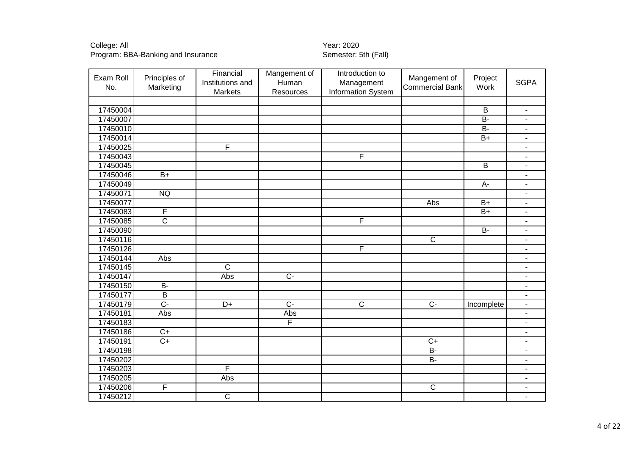| Exam Roll<br>No. | Principles of<br>Marketing | Financial<br>Institutions and<br>Markets | Mangement of<br>Human<br>Resources | Introduction to<br>Management<br>Information System | Mangement of<br><b>Commercial Bank</b> | Project<br>Work | <b>SGPA</b>                  |
|------------------|----------------------------|------------------------------------------|------------------------------------|-----------------------------------------------------|----------------------------------------|-----------------|------------------------------|
|                  |                            |                                          |                                    |                                                     |                                        |                 |                              |
| 17450004         |                            |                                          |                                    |                                                     |                                        | $\mathsf B$     | $\overline{\phantom{a}}$     |
| 17450007         |                            |                                          |                                    |                                                     |                                        | $B -$           | $\blacksquare$               |
| 17450010         |                            |                                          |                                    |                                                     |                                        | $\overline{B}$  | $\overline{\phantom{a}}$     |
| 17450014         |                            |                                          |                                    |                                                     |                                        | $B+$            | $\overline{\phantom{a}}$     |
| 17450025         |                            | F                                        |                                    |                                                     |                                        |                 | $\overline{\phantom{a}}$     |
| 17450043         |                            |                                          |                                    | F                                                   |                                        |                 |                              |
| 17450045         |                            |                                          |                                    |                                                     |                                        | $\overline{B}$  | $\overline{\phantom{a}}$     |
| 17450046         | $B+$                       |                                          |                                    |                                                     |                                        |                 | $\blacksquare$               |
| 17450049         |                            |                                          |                                    |                                                     |                                        | $A-$            | $\overline{\phantom{a}}$     |
| 17450071         | <b>NQ</b>                  |                                          |                                    |                                                     |                                        |                 | $\blacksquare$               |
| 17450077         |                            |                                          |                                    |                                                     | Abs                                    | $B+$            | $\overline{\phantom{a}}$     |
| 17450083         | $\overline{F}$             |                                          |                                    |                                                     |                                        | $B+$            | $\overline{\phantom{a}}$     |
| 17450085         | $\overline{\text{c}}$      |                                          |                                    | $\overline{F}$                                      |                                        |                 | $\overline{\phantom{a}}$     |
| 17450090         |                            |                                          |                                    |                                                     |                                        | $B -$           | $\overline{\phantom{a}}$     |
| 17450116         |                            |                                          |                                    |                                                     | $\overline{\mathsf{C}}$                |                 | $\overline{\phantom{a}}$     |
| 17450126         |                            |                                          |                                    | F                                                   |                                        |                 | $\blacksquare$               |
| 17450144         | Abs                        |                                          |                                    |                                                     |                                        |                 | $\blacksquare$               |
| 17450145         |                            | $\overline{C}$                           |                                    |                                                     |                                        |                 | $\overline{\phantom{a}}$     |
| 17450147         |                            | Abs                                      | $\overline{C}$                     |                                                     |                                        |                 | $\overline{\phantom{a}}$     |
| 17450150         | $B-$                       |                                          |                                    |                                                     |                                        |                 | $\overline{\phantom{a}}$     |
| 17450177         | $\overline{B}$             |                                          |                                    |                                                     |                                        |                 | $\qquad \qquad \blacksquare$ |
| 17450179         | $\overline{C}$             | $\overline{D+}$                          | $\overline{C}$                     | $\overline{\text{c}}$                               | $\overline{C}$                         | Incomplete      | $\overline{\phantom{a}}$     |
| 17450181         | Abs                        |                                          | Abs                                |                                                     |                                        |                 | L,                           |
| 17450183         |                            |                                          | F                                  |                                                     |                                        |                 | $\overline{\phantom{a}}$     |
| 17450186         | $C+$                       |                                          |                                    |                                                     |                                        |                 | $\overline{\phantom{a}}$     |
| 17450191         | $\overline{C+}$            |                                          |                                    |                                                     | $\overline{C+}$                        |                 | $\overline{\phantom{a}}$     |
| 17450198         |                            |                                          |                                    |                                                     | $B -$                                  |                 | $\overline{\phantom{a}}$     |
| 17450202         |                            |                                          |                                    |                                                     | $B -$                                  |                 | $\blacksquare$               |
| 17450203         |                            | F                                        |                                    |                                                     |                                        |                 | $\overline{\phantom{a}}$     |
| 17450205         |                            | Abs                                      |                                    |                                                     |                                        |                 | $\overline{\phantom{a}}$     |
| 17450206         | F                          |                                          |                                    |                                                     | $\overline{\mathsf{C}}$                |                 | $\blacksquare$               |
| 17450212         |                            | $\overline{C}$                           |                                    |                                                     |                                        |                 | $\overline{\phantom{a}}$     |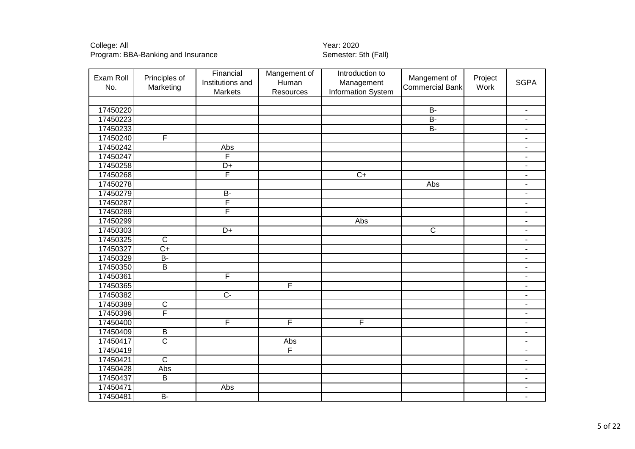| Exam Roll<br>No. | Principles of<br>Marketing | Financial<br>Institutions and<br>Markets | Mangement of<br>Human<br>Resources | Introduction to<br>Management<br>Information System | Mangement of<br><b>Commercial Bank</b> | Project<br>Work | <b>SGPA</b>              |
|------------------|----------------------------|------------------------------------------|------------------------------------|-----------------------------------------------------|----------------------------------------|-----------------|--------------------------|
|                  |                            |                                          |                                    |                                                     |                                        |                 |                          |
| 17450220         |                            |                                          |                                    |                                                     | $B -$                                  |                 | ä,                       |
| 17450223         |                            |                                          |                                    |                                                     | $\overline{B}$                         |                 | ä,                       |
| 17450233         |                            |                                          |                                    |                                                     | $\overline{B}$                         |                 | $\overline{\phantom{a}}$ |
| 17450240         | $\overline{\mathsf{F}}$    |                                          |                                    |                                                     |                                        |                 | $\blacksquare$           |
| 17450242         |                            | Abs                                      |                                    |                                                     |                                        |                 | $\overline{\phantom{0}}$ |
| 17450247         |                            | F                                        |                                    |                                                     |                                        |                 | $\overline{\phantom{0}}$ |
| 17450258         |                            | $D+$                                     |                                    |                                                     |                                        |                 | $\overline{\phantom{0}}$ |
| 17450268         |                            | F                                        |                                    | $\overline{C+}$                                     |                                        |                 | $\blacksquare$           |
| 17450278         |                            |                                          |                                    |                                                     | Abs                                    |                 | $\overline{a}$           |
| 17450279         |                            | $\overline{B}$                           |                                    |                                                     |                                        |                 | $\overline{\phantom{a}}$ |
| 17450287         |                            | F                                        |                                    |                                                     |                                        |                 | $\blacksquare$           |
| 17450289         |                            | F                                        |                                    |                                                     |                                        |                 | $\blacksquare$           |
| 17450299         |                            |                                          |                                    | Abs                                                 |                                        |                 | $\blacksquare$           |
| 17450303         |                            | $\overline{D+}$                          |                                    |                                                     | $\overline{\mathsf{C}}$                |                 | $\overline{\phantom{a}}$ |
| 17450325         | $\overline{C}$             |                                          |                                    |                                                     |                                        |                 | $\blacksquare$           |
| 17450327         | $\overline{C+}$            |                                          |                                    |                                                     |                                        |                 | $\blacksquare$           |
| 17450329         | $\overline{B}$             |                                          |                                    |                                                     |                                        |                 | $\blacksquare$           |
| 17450350         | $\overline{B}$             |                                          |                                    |                                                     |                                        |                 | $\overline{a}$           |
| 17450361         |                            | $\overline{\mathsf{F}}$                  |                                    |                                                     |                                        |                 | $\overline{\phantom{a}}$ |
| 17450365         |                            |                                          | F                                  |                                                     |                                        |                 | $\blacksquare$           |
| 17450382         |                            | $\overline{C}$                           |                                    |                                                     |                                        |                 | $\blacksquare$           |
| 17450389         | $\overline{C}$             |                                          |                                    |                                                     |                                        |                 | $\blacksquare$           |
| 17450396         | F                          |                                          |                                    |                                                     |                                        |                 | $\overline{\phantom{0}}$ |
| 17450400         |                            | F                                        | F                                  | F                                                   |                                        |                 | $\blacksquare$           |
| 17450409         | $\overline{B}$             |                                          |                                    |                                                     |                                        |                 | $\overline{a}$           |
| 17450417         | $\overline{\text{c}}$      |                                          | Abs                                |                                                     |                                        |                 | L.                       |
| 17450419         |                            |                                          | F                                  |                                                     |                                        |                 | $\overline{a}$           |
| 17450421         | $\overline{\mathsf{C}}$    |                                          |                                    |                                                     |                                        |                 | $\overline{\phantom{a}}$ |
| 17450428         | Abs                        |                                          |                                    |                                                     |                                        |                 | $\blacksquare$           |
| 17450437         | $\overline{B}$             |                                          |                                    |                                                     |                                        |                 | $\overline{\phantom{a}}$ |
| 17450471         |                            | Abs                                      |                                    |                                                     |                                        |                 | $\overline{\phantom{a}}$ |
| 17450481         | $\overline{B}$             |                                          |                                    |                                                     |                                        |                 | $\overline{\phantom{a}}$ |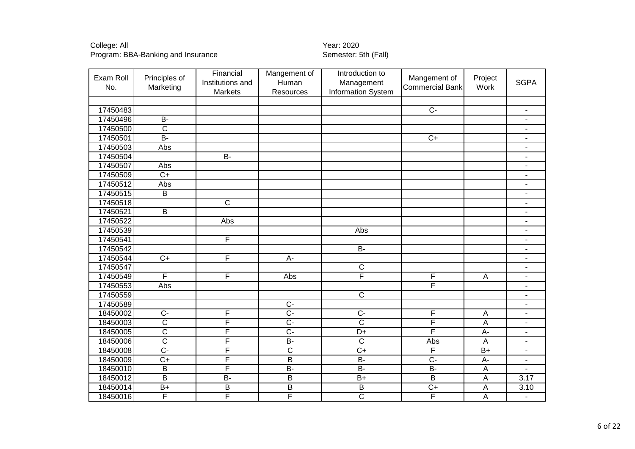| Exam Roll<br>No. | Principles of<br>Marketing | Financial<br>Institutions and<br><b>Markets</b> | Mangement of<br>Human<br>Resources | Introduction to<br>Management<br>Information System | Mangement of<br><b>Commercial Bank</b> | Project<br>Work           | <b>SGPA</b>              |
|------------------|----------------------------|-------------------------------------------------|------------------------------------|-----------------------------------------------------|----------------------------------------|---------------------------|--------------------------|
|                  |                            |                                                 |                                    |                                                     |                                        |                           |                          |
| 17450483         |                            |                                                 |                                    |                                                     | $\overline{C}$                         |                           | $\overline{\phantom{a}}$ |
| 17450496         | $\overline{B}$             |                                                 |                                    |                                                     |                                        |                           | $\overline{\phantom{a}}$ |
| 17450500         | $\overline{\mathsf{C}}$    |                                                 |                                    |                                                     |                                        |                           | $\overline{\phantom{a}}$ |
| 17450501         | $\overline{B}$             |                                                 |                                    |                                                     | $\overline{C+}$                        |                           | $\blacksquare$           |
| 17450503         | Abs                        |                                                 |                                    |                                                     |                                        |                           | $\blacksquare$           |
| 17450504         |                            | $B -$                                           |                                    |                                                     |                                        |                           | $\overline{\phantom{a}}$ |
| 17450507         | Abs                        |                                                 |                                    |                                                     |                                        |                           | $\overline{\phantom{a}}$ |
| 17450509         | $\overline{C+}$            |                                                 |                                    |                                                     |                                        |                           | $\overline{\phantom{a}}$ |
| 17450512         | Abs                        |                                                 |                                    |                                                     |                                        |                           | $\overline{\phantom{a}}$ |
| 17450515         | B                          |                                                 |                                    |                                                     |                                        |                           | $\blacksquare$           |
| 17450518         |                            | $\overline{\mathsf{C}}$                         |                                    |                                                     |                                        |                           | $\overline{\phantom{a}}$ |
| 17450521         | B                          |                                                 |                                    |                                                     |                                        |                           | $\overline{\phantom{a}}$ |
| 17450522         |                            | Abs                                             |                                    |                                                     |                                        |                           | $\overline{\phantom{a}}$ |
| 17450539         |                            |                                                 |                                    | Abs                                                 |                                        |                           | $\blacksquare$           |
| 17450541         |                            | F                                               |                                    |                                                     |                                        |                           | $\overline{\phantom{a}}$ |
| 17450542         |                            |                                                 |                                    | $B -$                                               |                                        |                           | $\overline{\phantom{a}}$ |
| 17450544         | $\overline{C+}$            | F                                               | $A -$                              |                                                     |                                        |                           | $\blacksquare$           |
| 17450547         |                            |                                                 |                                    | $\overline{C}$                                      |                                        |                           | $\overline{\phantom{a}}$ |
| 17450549         | F                          | F                                               | Abs                                | $\overline{\mathsf{F}}$                             | F                                      | $\overline{A}$            | $\overline{\phantom{a}}$ |
| 17450553         | Abs                        |                                                 |                                    |                                                     | F                                      |                           | $\overline{\phantom{a}}$ |
| 17450559         |                            |                                                 |                                    | $\overline{\mathsf{c}}$                             |                                        |                           | $\blacksquare$           |
| 17450589         |                            |                                                 | $\overline{C}$                     |                                                     |                                        |                           | $\blacksquare$           |
| 18450002         | $\overline{C}$             | F                                               | $\overline{C}$ -                   | $\overline{C}$                                      | F                                      | $\overline{A}$            | $\overline{\phantom{a}}$ |
| 18450003         | $\overline{\text{c}}$      | F                                               | $\overline{C}$                     | $\overline{\text{c}}$                               | $\overline{\mathsf{F}}$                | A                         | L,                       |
| 18450005         | $\overline{\text{c}}$      | F                                               | $\overline{C}$                     | D+                                                  | $\overline{F}$                         | A-                        | $\blacksquare$           |
| 18450006         | $\overline{\text{c}}$      | F                                               | $B -$                              | $\overline{\text{c}}$                               | Abs                                    | $\overline{A}$            | $\overline{\phantom{a}}$ |
| 18450008         | $\overline{C}$             | F                                               | $\overline{\text{c}}$              | $\overline{C+}$                                     | F                                      | $\overline{B+}$           | $\overline{\phantom{a}}$ |
| 18450009         | $\overline{C+}$            | F                                               | $\overline{B}$                     | $B -$                                               | $\overline{C}$                         | $A-$                      | $\overline{\phantom{a}}$ |
| 18450010         | $\overline{B}$             | F                                               | $\overline{B}$                     | $B -$                                               | $B -$                                  | $\overline{A}$            | $\blacksquare$           |
| 18450012         | $\overline{B}$             | $\overline{B}$                                  | B                                  | $B+$                                                | $\overline{B}$                         | A                         | $\overline{3.17}$        |
| 18450014         | $\overline{B+}$            | $\overline{B}$                                  | $\overline{B}$                     | $\overline{B}$                                      | $\overline{C+}$                        | $\boldsymbol{\mathsf{A}}$ | 3.10                     |
| 18450016         | F                          | F                                               | F                                  | $\overline{\text{c}}$                               | F                                      | A                         | $\overline{\phantom{a}}$ |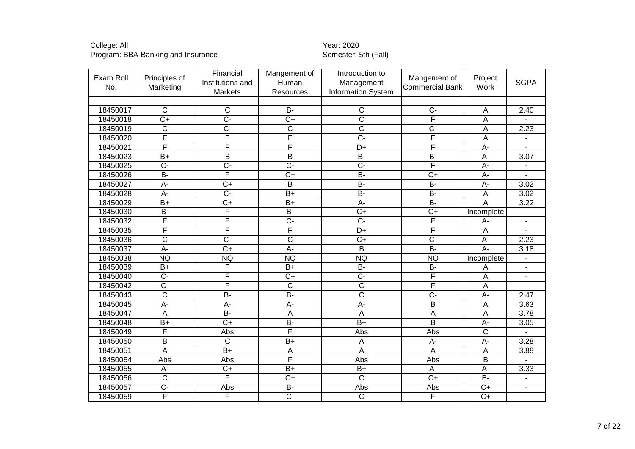| Exam Roll<br>No. | Principles of<br>Marketing | Financial<br>Institutions and<br>Markets | Mangement of<br>Human<br><b>Resources</b> | Introduction to<br>Management<br><b>Information System</b> | Mangement of<br><b>Commercial Bank</b> | Project<br>Work       | <b>SGPA</b>              |
|------------------|----------------------------|------------------------------------------|-------------------------------------------|------------------------------------------------------------|----------------------------------------|-----------------------|--------------------------|
|                  |                            |                                          |                                           |                                                            |                                        |                       |                          |
| 18450017         | C                          | $\overline{C}$                           | $B -$                                     | $\mathsf C$                                                | $\overline{C}$                         | $\overline{A}$        | 2.40                     |
| 18450018         | $\overline{C+}$            | $\overline{C}$ -                         | $\overline{C+}$                           | $\overline{\text{c}}$                                      | F                                      | Α                     |                          |
| 18450019         | $\overline{\text{c}}$      | Ç-                                       | $\overline{\text{c}}$                     | $\overline{\mathsf{C}}$                                    | $\overline{C}$                         | $\overline{A}$        | 2.23                     |
| 18450020         | F                          | F                                        | F                                         | $\overline{C}$                                             | F                                      | $\overline{A}$        |                          |
| 18450021         | F                          | F                                        | F                                         | D+                                                         | F                                      | $A -$                 |                          |
| 18450023         | $\overline{B+}$            | $\overline{\mathsf{B}}$                  | $\overline{\mathsf{B}}$                   | $B -$                                                      | $B -$                                  | $\overline{A}$        | 3.07                     |
| 18450025         | $\overline{C}$             | C-                                       | $\overline{C}$                            | $\overline{C}$                                             | F                                      | $A-$                  |                          |
| 18450026         | $\overline{B}$             | F                                        | $\overline{C+}$                           | $\overline{B}$                                             | $\overline{C+}$                        | $A -$                 |                          |
| 18450027         | $\overline{A}$ -           | $\overline{C}$                           | $\overline{B}$                            | $B -$                                                      | $B -$                                  | $A -$                 | 3.02                     |
| 18450028         | A-                         | $\overline{C}$                           | $\overline{B+}$                           | $B -$                                                      | $\overline{B}$                         | $\overline{A}$        | 3.02                     |
| 18450029         | $\overline{B+}$            | $\overline{C+}$                          | $B+$                                      | $A -$                                                      | $B -$                                  | $\overline{A}$        | 3.22                     |
| 18450030         | $B -$                      | F                                        | $\overline{B}$                            | $\overline{C+}$                                            | $\overline{C+}$                        | Incomplete            | $\overline{\phantom{a}}$ |
| 18450032         | F                          | F                                        | $\overline{C}$                            | $\overline{C}$                                             | F                                      | A-                    | $\blacksquare$           |
| 18450035         | F                          | F                                        | F                                         | $\overline{D+}$                                            | F                                      | $\overline{A}$        | ÷,                       |
| 18450036         | $\overline{\text{C}}$      | $\overline{C}$ -                         | $\overline{\text{c}}$                     | $C+$                                                       | $\overline{C}$                         | $A-$                  | 2.23                     |
| 18450037         | $\overline{A}$ -           | $\overline{C+}$                          | $\overline{A}$                            | $\overline{B}$                                             | $\overline{B}$                         | $A -$                 | 3.18                     |
| 18450038         | <b>NQ</b>                  | <b>NQ</b>                                | <b>NQ</b>                                 | <b>NQ</b>                                                  | <b>NQ</b>                              | Incomplete            |                          |
| 18450039         | $B+$                       | F                                        | $B+$                                      | <b>B-</b>                                                  | <b>B-</b>                              | A                     |                          |
| 18450040         | $C -$                      | F                                        | $C+$                                      | $C -$                                                      | F                                      | $\overline{A}$        |                          |
| 18450042         | $\overline{C}$ -           | F                                        | $\overline{\mathsf{c}}$                   | $\overline{\text{c}}$                                      | F                                      | $\overline{A}$        |                          |
| 18450043         | $\overline{\text{c}}$      | $B -$                                    | B-                                        | $\overline{\text{c}}$                                      | $\overline{C}$                         | A-                    | 2.47                     |
| 18450045         | $\overline{A}$             | $\overline{A}$ -                         | $\overline{A}$ -                          | $\overline{A}$                                             | $\overline{\mathsf{B}}$                | A                     | 3.63                     |
| 18450047         | $\overline{A}$             | $B -$                                    | $\overline{A}$                            | $\overline{A}$                                             | $\overline{\mathsf{A}}$                | A                     | 3.78                     |
| 18450048         | $\overline{B+}$            | $\overline{C}$                           | $\overline{B}$                            | $\overline{B+}$                                            | $\overline{\mathsf{B}}$                | $\overline{A}$        | 3.05                     |
| 18450049         | F                          | Abs                                      | F                                         | Abs                                                        | Abs                                    | $\overline{\text{c}}$ |                          |
| 18450050         | $\overline{\mathsf{B}}$    | $\overline{C}$                           | $B+$                                      | A                                                          | $\overline{A}$ -                       | $A -$                 | 3.28                     |
| 18450051         | A                          | $\overline{B+}$                          | $\boldsymbol{\mathsf{A}}$                 | A                                                          | Α                                      | $\overline{A}$        | 3.88                     |
| 18450054         | Abs                        | Abs                                      | F                                         | Abs                                                        | Abs                                    | $\overline{B}$        |                          |
| 18450055         | A-                         | $\overline{C}$                           | $B+$                                      | $\overline{B+}$                                            | $A -$                                  | $A -$                 | 3.33                     |
| 18450056         | C                          | F                                        | $C+$                                      | $\overline{C}$                                             | $C+$                                   | <b>B-</b>             | $\overline{a}$           |
| 18450057         | $\overline{C}$             | Abs                                      | $\overline{B}$                            | Abs                                                        | Abs                                    | $\overline{C+}$       | $\overline{\phantom{a}}$ |
| 18450059         | F                          | F                                        | $\overline{C}$ -                          | $\overline{C}$                                             | F                                      | $\overline{C+}$       | $\overline{\phantom{a}}$ |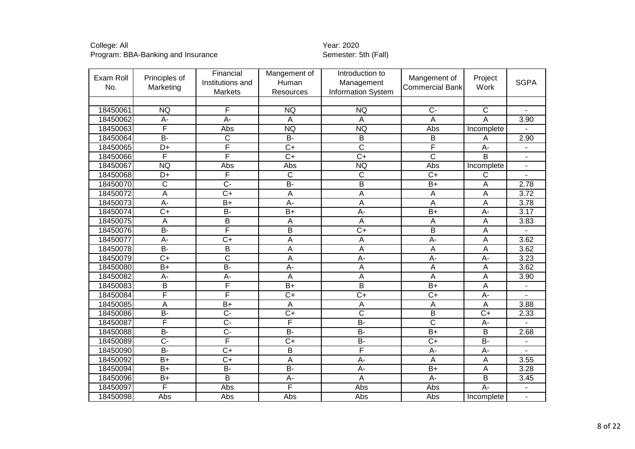| Exam Roll<br>No. | Principles of<br>Marketing | Financial<br>Institutions and<br>Markets | Mangement of<br>Human<br>Resources | Introduction to<br>Management<br><b>Information System</b> | Mangement of<br><b>Commercial Bank</b> | Project<br>Work           | <b>SGPA</b>              |
|------------------|----------------------------|------------------------------------------|------------------------------------|------------------------------------------------------------|----------------------------------------|---------------------------|--------------------------|
|                  |                            |                                          |                                    |                                                            |                                        |                           |                          |
| 18450061         | <b>NQ</b>                  | F                                        | <b>NQ</b>                          | <b>NQ</b>                                                  | $\overline{C}$                         | $\overline{C}$            |                          |
| 18450062         | A-                         | $\overline{A}$ -                         | $\overline{A}$                     | $\overline{A}$                                             | A                                      | A                         | 3.90                     |
| 18450063         | F                          | Abs                                      | <b>NQ</b>                          | <b>NQ</b>                                                  | Abs                                    | Incomplete                |                          |
| 18450064         | $\overline{B}$             | $\overline{C}$                           | <b>B-</b>                          | B                                                          | B                                      | A                         | 2.90                     |
| 18450065         | $\overline{D+}$            | F                                        | $\overline{C+}$                    | $\overline{\text{c}}$                                      | F                                      | $A -$                     |                          |
| 18450066         | F                          | F                                        | $\overline{C+}$                    | $\overline{C+}$                                            | $\overline{\text{c}}$                  | B                         |                          |
| 18450067         | <b>NQ</b>                  | Abs                                      | Abs                                | <b>NQ</b>                                                  | Abs                                    | Incomplete                |                          |
| 18450068         | $\overline{D+}$            | F                                        | $\overline{\text{c}}$              | $\overline{\mathsf{c}}$                                    | $\overline{C+}$                        | C                         |                          |
| 18450070         | $\overline{C}$             | $\overline{C}$ -                         | $\overline{B}$                     | $\overline{B}$                                             | $\overline{B+}$                        | A                         | 2.78                     |
| 18450072         | $\overline{\mathsf{A}}$    | $\overline{C+}$                          | A                                  | $\overline{A}$                                             | A                                      | A                         | 3.72                     |
| 18450073         | $A -$                      | $\overline{B+}$                          | $A -$                              | $\overline{A}$                                             | A                                      | A                         | 3.78                     |
| 18450074         | $\overline{C}$             | $B -$                                    | $\overline{B+}$                    | $\overline{A}$ -                                           | $B+$                                   | A-                        | 3.17                     |
| 18450075         | A                          | B                                        | A                                  | A                                                          | $\mathsf A$                            | $\overline{A}$            | 3.83                     |
| 18450076         | $\overline{B}$             | F                                        | $\overline{\mathsf{B}}$            | $\overline{C+}$                                            | $\overline{B}$                         | $\overline{A}$            |                          |
| 18450077         | A-                         | $\overline{C+}$                          | Α                                  | $\mathsf{A}$                                               | $\overline{A}$                         | $\boldsymbol{\mathsf{A}}$ | 3.62                     |
| 18450078         | $\overline{B}$             | $\overline{\mathsf{B}}$                  | A                                  | A                                                          | A                                      | $\overline{A}$            | 3.62                     |
| 18450079         | $\overline{C}$             | $\overline{\mathsf{C}}$                  | A                                  | A-                                                         | $A -$                                  | A-                        | 3.23                     |
| 18450080         | $\overline{B+}$            | $B -$                                    | $\overline{A}$ -                   | $\overline{A}$                                             | A                                      | A                         | 3.62                     |
| 18450082         | A-                         | A-                                       | A                                  | A                                                          | A                                      | A                         | 3.90                     |
| 18450083         | $\overline{\mathsf{B}}$    | F                                        | $\overline{B+}$                    | $\overline{B}$                                             | $\overline{B+}$                        | $\overline{A}$            |                          |
| 18450084         | F                          | F                                        | $\overline{C+}$                    | $\overline{C+}$                                            | $\overline{C+}$                        | A-                        |                          |
| 18450085         | A                          | $B+$                                     | A                                  | $\overline{A}$                                             | A                                      | A                         | 3.88                     |
| 18450086         | $\overline{B}$             | $\overline{C}$ -                         | $\overline{C+}$                    | $\overline{\text{c}}$                                      | $\overline{B}$                         | $\overline{C+}$           | 2.33                     |
| 18450087         | F                          | $\overline{C}$ -                         | F                                  | $\overline{B}$                                             | $\overline{\mathsf{c}}$                | $\overline{A}$ -          |                          |
| 18450088         | $\overline{B}$             | $\overline{C}$                           | <b>B-</b>                          | $\overline{B}$                                             | $\overline{B+}$                        | $\mathsf B$               | 2.68                     |
| 18450089         | $\overline{C}$ -           | F                                        | $\overline{C+}$                    | B-                                                         | $\overline{C+}$                        | $\overline{B}$ -          | $\overline{\phantom{a}}$ |
| 18450090         | $\overline{B}$             | $\overline{C+}$                          | B                                  | F                                                          | $A-$                                   | A-                        |                          |
| 18450092         | $\overline{B+}$            | $\overline{C+}$                          | $\overline{A}$                     | $A -$                                                      | $\overline{A}$                         | $\overline{A}$            | 3.55                     |
| 18450094         | $\overline{B+}$            | $\overline{B}$                           | $\overline{B}$                     | $\overline{A}$                                             | $\overline{B+}$                        | $\overline{A}$            | 3.28                     |
| 18450096         | $B+$                       | B                                        | A-                                 | $\overline{A}$                                             | A-                                     | B                         | 3.45                     |
| 18450097         | F                          | Abs                                      | F                                  | Abs                                                        | Abs                                    | $\overline{A}$ -          |                          |
| 18450098         | Abs                        | Abs                                      | Abs                                | Abs                                                        | Abs                                    | Incomplete                | $\blacksquare$           |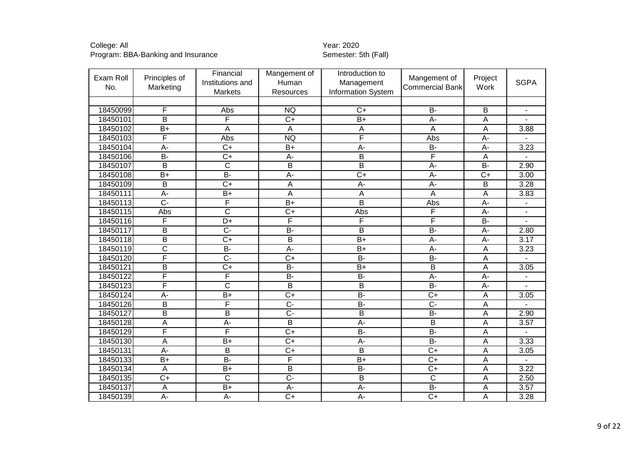| Exam Roll<br>No. | Principles of<br>Marketing | Financial<br>Institutions and<br>Markets | Mangement of<br>Human<br><b>Resources</b> | Introduction to<br>Management<br><b>Information System</b> | Mangement of<br><b>Commercial Bank</b> | Project<br>Work  | <b>SGPA</b>    |
|------------------|----------------------------|------------------------------------------|-------------------------------------------|------------------------------------------------------------|----------------------------------------|------------------|----------------|
|                  |                            |                                          |                                           |                                                            |                                        |                  |                |
| 18450099         | F                          | Abs                                      | <b>NQ</b>                                 | $C+$                                                       | $\overline{B}$                         | B                |                |
| 18450101         | $\overline{B}$             | F                                        | $\overline{C+}$                           | $\overline{B+}$                                            | $\overline{A}$ -                       | $\overline{A}$   |                |
| 18450102         | $\overline{B+}$            | $\overline{A}$                           | $\overline{A}$                            | A                                                          | A                                      | A                | 3.88           |
| 18450103         | F                          | Abs                                      | <b>NQ</b>                                 | F                                                          | Abs                                    | A-               |                |
| 18450104         | A-                         | $\overline{C}$                           | $B+$                                      | $A -$                                                      | $\overline{B}$                         | A-               | 3.23           |
| 18450106         | $\overline{B}$             | $\overline{C+}$                          | $A -$                                     | $\overline{\mathsf{B}}$                                    | F                                      | $\overline{A}$   |                |
| 18450107         | $\overline{B}$             | $\overline{C}$                           | $\overline{B}$                            | $\overline{B}$                                             | $\overline{A}$ -                       | <b>B-</b>        | 2.90           |
| 18450108         | $\overline{B+}$            | B-                                       | $A -$                                     | $\overline{C+}$                                            | $A -$                                  | $\overline{C+}$  | 3.00           |
| 18450109         | $\overline{B}$             | $\overline{C+}$                          | A                                         | $A -$                                                      | A-                                     | $\overline{B}$   | 3.28           |
| 18450111         | $\overline{A}$             | $\overline{B+}$                          | $\overline{A}$                            | A                                                          | A                                      | $\overline{A}$   | 3.83           |
| 18450113         | $\overline{C}$ -           | F                                        | $\overline{B+}$                           | $\overline{\mathsf{B}}$                                    | Abs                                    | $\overline{A}$ - |                |
| 18450115         | Abs                        | $\overline{\text{c}}$                    | $\overline{C+}$                           | Abs                                                        | F                                      | A-               |                |
| 18450116         | F                          | D+                                       | F                                         | F                                                          | F                                      | <b>B-</b>        | $\blacksquare$ |
| 18450117         | $\overline{\mathsf{B}}$    | $\overline{C}$ -                         | $\overline{B}$                            | $\overline{\mathsf{B}}$                                    | $\overline{B}$                         | $A -$            | 2.80           |
| 18450118         | B                          | $\overline{C+}$                          | $\overline{B}$                            | $B+$                                                       | A-                                     | A-               | 3.17           |
| 18450119         | $\overline{\text{c}}$      | <b>B-</b>                                | A-                                        | $B+$                                                       | A-                                     | A                | 3.23           |
| 18450120         | F                          | $\overline{C}$ -                         | $\overline{C+}$                           | $B -$                                                      | $\overline{B}$                         | A                |                |
| 18450121         | $\overline{B}$             | $\overline{C+}$                          | $\overline{B}$                            | $\overline{B+}$                                            | B                                      | A                | 3.05           |
| 18450122         | F                          | F                                        | $\overline{B}$                            | <b>B-</b>                                                  | A-                                     | A-               |                |
| 18450123         | F                          | $\overline{\text{c}}$                    | $\overline{B}$                            | $\overline{B}$                                             | $\overline{B}$                         | $\overline{A}$ - |                |
| 18450124         | $A -$                      | $B+$                                     | $\overline{C+}$                           | $\overline{B}$                                             | $\overline{C}$                         | A                | 3.05           |
| 18450126         | $\overline{B}$             | F                                        | $\overline{C}$ -                          | $B -$                                                      | $\overline{C}$                         | $\overline{A}$   |                |
| 18450127         | $\overline{\mathsf{B}}$    | $\overline{B}$                           | $\overline{C}$ -                          | $\overline{B}$                                             | $\overline{B}$                         | A                | 2.90           |
| 18450128         | A                          | $\overline{A}$ -                         | $\overline{B}$                            | A-                                                         | B                                      | A                | 3.57           |
| 18450129         | F                          | F                                        | $\overline{C+}$                           | $B -$                                                      | $\overline{B}$                         | A                |                |
| 18450130         | $\overline{\mathsf{A}}$    | $B+$                                     | $\overline{C+}$                           | $A -$                                                      | $\overline{B}$ -                       | $\overline{A}$   | 3.33           |
| 18450131         | A-                         | $\overline{B}$                           | $\overline{C+}$                           | $\overline{B}$                                             | $\overline{C}$                         | Α                | 3.05           |
| 18450133         | $\overline{B+}$            | $B -$                                    | F                                         | $\overline{B+}$                                            | $\overline{C}$                         | $\overline{A}$   |                |
| 18450134         | A                          | $\overline{B+}$                          | $\overline{B}$                            | $\overline{B}$                                             | $\overline{C+}$                        | $\overline{A}$   | 3.22           |
| 18450135         | $C+$                       | $\overline{C}$                           | $\overline{C}$                            | $\overline{B}$                                             | $\overline{\text{c}}$                  | $\overline{A}$   | 2.50           |
| 18450137         | A                          | $B+$                                     | $A -$                                     | $A -$                                                      | $\overline{B}$                         | A                | 3.57           |
| 18450139         | $\overline{A}$ -           | $\overline{A}$ -                         | $\overline{C+}$                           | $\overline{A}$ -                                           | $\overline{C+}$                        | A                | 3.28           |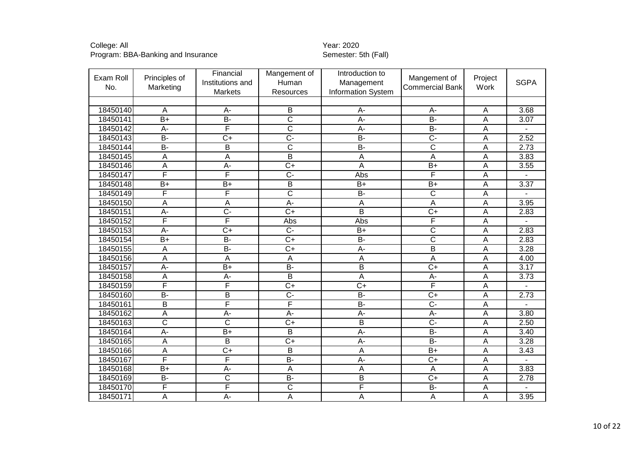| Exam Roll<br>No. | Principles of<br>Marketing | Financial<br>Institutions and<br>Markets | Mangement of<br>Human<br>Resources | Introduction to<br>Management<br>Information System | Mangement of<br><b>Commercial Bank</b> | Project<br>Work | <b>SGPA</b> |
|------------------|----------------------------|------------------------------------------|------------------------------------|-----------------------------------------------------|----------------------------------------|-----------------|-------------|
|                  |                            |                                          |                                    |                                                     |                                        |                 |             |
| 18450140         | A                          | $A -$                                    | B                                  | A-                                                  | A-                                     | Α               | 3.68        |
| 18450141         | $\overline{B+}$            | $\overline{B}$                           | $\overline{\text{c}}$              | $\overline{A}$                                      | $B -$                                  | Α               | 3.07        |
| 18450142         | A-                         | F                                        | $\overline{\text{c}}$              | $\overline{A}$ -                                    | $B -$                                  | Α               |             |
| 18450143         | $\overline{B}$             | $\overline{C+}$                          | $\overline{C}$ -                   | $B -$                                               | $\overline{C}$                         | A               | 2.52        |
| 18450144         | B-                         | B                                        | $\overline{\text{c}}$              | $\overline{B}$                                      | $\overline{\text{c}}$                  | Α               | 2.73        |
| 18450145         | A                          | A                                        | $\overline{\mathsf{B}}$            | A                                                   | $\overline{A}$                         | A               | 3.83        |
| 18450146         | А                          | A-                                       | $C+$                               | $\overline{A}$                                      | $B+$                                   | Α               | 3.55        |
| 18450147         | F                          | F                                        | $\overline{C}$                     | Abs                                                 | F                                      | A               |             |
| 18450148         | $B+$                       | $\overline{B+}$                          | B                                  | $B+$                                                | $\overline{B+}$                        | A               | 3.37        |
| 18450149         | F                          | F                                        | $\overline{\mathsf{c}}$            | $B -$                                               | $\overline{\text{c}}$                  | А               |             |
| 18450150         | Ā                          | $\overline{\mathsf{A}}$                  | $A -$                              | $\overline{A}$                                      | $\overline{A}$                         | A               | 3.95        |
| 18450151         | $A -$                      | $\overline{C}$                           | $\overline{C}$                     | $\overline{B}$                                      | $\overline{C+}$                        | Α               | 2.83        |
| 18450152         | F                          | F                                        | Abs                                | Abs                                                 | F                                      | A               |             |
| 18450153         | $A -$                      | $\overline{C+}$                          | $\overline{C}$ -                   | $\overline{B+}$                                     | $\overline{\text{c}}$                  | A               | 2.83        |
| 18450154         | $B+$                       | <b>B-</b>                                | $C+$                               | <b>B-</b>                                           | $\overline{\text{c}}$                  | Α               | 2.83        |
| 18450155         | A                          | $\overline{B}$                           | $\overline{C+}$                    | A-                                                  | $\overline{B}$                         | A               | 3.28        |
| 18450156         | Ā                          | A                                        | $\overline{A}$                     | A                                                   | $\overline{A}$                         | A               | 4.00        |
| 18450157         | $A -$                      | $\overline{B+}$                          | $B -$                              | $\overline{B}$                                      | $\overline{C+}$                        | A               | 3.17        |
| 18450158         | A                          | A-                                       | $\overline{B}$                     | $\overline{A}$                                      | A-                                     | A               | 3.73        |
| 18450159         | F                          | F                                        | $\overline{C+}$                    | $\overline{C+}$                                     | F                                      | A               |             |
| 18450160         | $B -$                      | $\overline{B}$                           | $\overline{C}$                     | $B -$                                               | $\overline{C+}$                        | A               | 2.73        |
| 18450161         | B                          | F                                        | F                                  | $\overline{B}$                                      | $\overline{C}$                         | Α               |             |
| 18450162         | А                          | $A -$                                    | $A -$                              | $A -$                                               | $\overline{A}$                         | А               | 3.80        |
| 18450163         | $\overline{\text{c}}$      | $\overline{\text{c}}$                    | $\overline{C+}$                    | $\overline{B}$                                      | $\overline{C}$                         | Α               | 2.50        |
| 18450164         | $A -$                      | $\overline{B+}$                          | B                                  | $\overline{A}$                                      | $B -$                                  | Α               | 3.40        |
| 18450165         | A                          | $\overline{B}$                           | $\overline{C}$                     | $\overline{A}$                                      | $\overline{B}$                         | Α               | 3.28        |
| 18450166         | A                          | $\overline{C+}$                          | B                                  | $\overline{A}$                                      | $B+$                                   | A               | 3.43        |
| 18450167         | F                          | F                                        | $\overline{B}$                     | $A -$                                               | $\overline{C+}$                        | A               |             |
| 18450168         | $\overline{B+}$            | A-                                       | $\overline{A}$                     | A                                                   | Α                                      | Α               | 3.83        |
| 18450169         | $B -$                      | $\overline{C}$                           | $B -$                              | $\overline{B}$                                      | $\overline{C+}$                        | A               | 2.78        |
| 18450170         | F                          | F                                        | $\overline{\text{c}}$              | F                                                   | <b>B-</b>                              | Α               |             |
| 18450171         | Ā                          | $A -$                                    | $\overline{A}$                     | A                                                   | $\overline{A}$                         | Α               | 3.95        |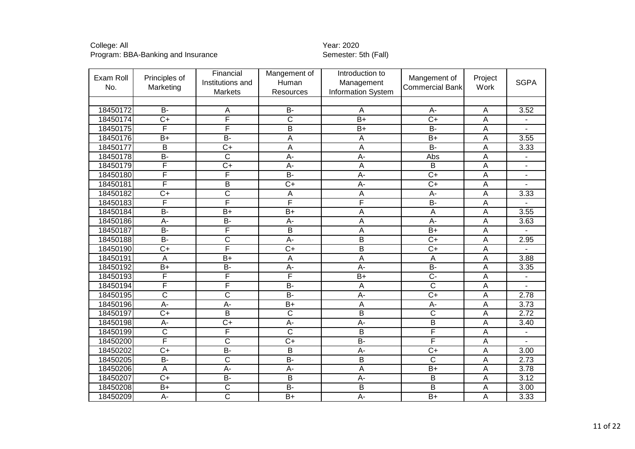| Exam Roll<br>No. | Principles of<br>Marketing | Financial<br>Institutions and<br>Markets | Mangement of<br>Human<br>Resources | Introduction to<br>Management<br><b>Information System</b> | Mangement of<br><b>Commercial Bank</b> | Project<br>Work | <b>SGPA</b> |
|------------------|----------------------------|------------------------------------------|------------------------------------|------------------------------------------------------------|----------------------------------------|-----------------|-------------|
|                  |                            |                                          |                                    |                                                            |                                        |                 |             |
| 18450172         | $\overline{B}$             | A                                        | <b>B-</b>                          | A                                                          | A-                                     | $\overline{A}$  | 3.52        |
| 18450174         | $\overline{C}$             | F                                        | $\overline{\text{c}}$              | $\overline{B+}$                                            | $\overline{C+}$                        | A               |             |
| 18450175         | F                          | F                                        | $\overline{B}$                     | $B+$                                                       | $\overline{B}$ -                       | A               |             |
| 18450176         | $B+$                       | B-                                       | A                                  | A                                                          | $B+$                                   | $\overline{A}$  | 3.55        |
| 18450177         | $\overline{B}$             | $\overline{C+}$                          | $\overline{A}$                     | $\overline{A}$                                             | $\overline{B}$ -                       | A               | 3.33        |
| 18450178         | B-                         | $\overline{\text{c}}$                    | A-                                 | $A -$                                                      | Abs                                    | Α               |             |
| 18450179         | F                          | $\overline{C}$                           | A-                                 | A                                                          | $\overline{B}$                         | A               |             |
| 18450180         | F                          | F                                        | $\overline{B}$                     | $\overline{A}$ -                                           | $\overline{C+}$                        | A               | ÷,          |
| 18450181         | F                          | B                                        | $\overline{C+}$                    | $A -$                                                      | $\overline{C+}$                        | A               |             |
| 18450182         | $\overline{C+}$            | $\overline{\text{c}}$                    | $\overline{A}$                     | $\boldsymbol{\mathsf{A}}$                                  | A-                                     | A               | 3.33        |
| 18450183         | F                          | F                                        | F                                  | F                                                          | $B -$                                  | A               |             |
| 18450184         | $\overline{B}$             | $\overline{B+}$                          | $\overline{B+}$                    | $\overline{A}$                                             | $\mathsf{A}$                           | $\overline{A}$  | 3.55        |
| 18450186         | A-                         | $B -$                                    | A-                                 | A                                                          | $A -$                                  | $\overline{A}$  | 3.63        |
| 18450187         | $B-$                       | F                                        | $\overline{\mathsf{B}}$            | $\overline{A}$                                             | $\overline{B+}$                        | A               |             |
| 18450188         | $\overline{B}$             | $\overline{\text{c}}$                    | A-                                 | $\overline{B}$                                             | $\overline{C+}$                        | $\overline{A}$  | 2.95        |
| 18450190         | $\overline{C}$             | F                                        | $\overline{C+}$                    | $\overline{B}$                                             | $\overline{C}$                         | $\overline{A}$  |             |
| 18450191         | A                          | $\overline{B+}$                          | $\overline{A}$                     | A                                                          | A                                      | A               | 3.88        |
| 18450192         | $B+$                       | B-                                       | $A -$                              | $A -$                                                      | $\overline{B}$                         | A               | 3.35        |
| 18450193         | F                          | F                                        | F                                  | $\overline{B+}$                                            | $\overline{C}$                         | $\overline{A}$  |             |
| 18450194         | F                          | F                                        | $\overline{B}$                     | A                                                          | $\overline{\mathsf{c}}$                | A               |             |
| 18450195         | $\overline{\text{c}}$      | $\overline{\text{c}}$                    | $\overline{B}$                     | $\overline{A}$                                             | $\overline{C}$                         | A               | 2.78        |
| 18450196         | A-                         | A-                                       | $B+$                               | A                                                          | $A -$                                  | A               | 3.73        |
| 18450197         | $\overline{C+}$            | $\overline{B}$                           | $\overline{\text{c}}$              | $\overline{\mathsf{B}}$                                    | $\overline{\text{c}}$                  | A               | 2.72        |
| 18450198         | $\overline{A}$ -           | $\overline{C+}$                          | $\overline{A}$ -                   | $A -$                                                      | $\overline{B}$                         | A               | 3.40        |
| 18450199         | $\overline{C}$             | F                                        | $\overline{\text{c}}$              | B                                                          | F                                      | A               |             |
| 18450200         | F                          | $\overline{\text{c}}$                    | $\overline{C+}$                    | $\overline{B}$                                             | F                                      | $\overline{A}$  |             |
| 18450202         | $\overline{C+}$            | $B -$                                    | $\overline{B}$                     | $\overline{A}$                                             | $\overline{C+}$                        | $\overline{A}$  | 3.00        |
| 18450205         | <b>B-</b>                  | $\overline{\text{c}}$                    | B-                                 | $\mathsf B$                                                | $\overline{\text{c}}$                  | $\overline{A}$  | 2.73        |
| 18450206         | A                          | $\overline{A}$ -                         | $\overline{A}$ -                   | $\overline{A}$                                             | $\overline{B+}$                        | A               | 3.78        |
| 18450207         | $C+$                       | <b>B-</b>                                | B                                  | A-                                                         | B                                      | A               | 3.12        |
| 18450208         | $\overline{B+}$            | $\overline{\text{c}}$                    | $B -$                              | $\overline{B}$                                             | $\overline{B}$                         | $\overline{A}$  | 3.00        |
| 18450209         | A-                         | $\overline{\text{c}}$                    | $\overline{B+}$                    | $\overline{A}$ -                                           | $\overline{B+}$                        | A               | 3.33        |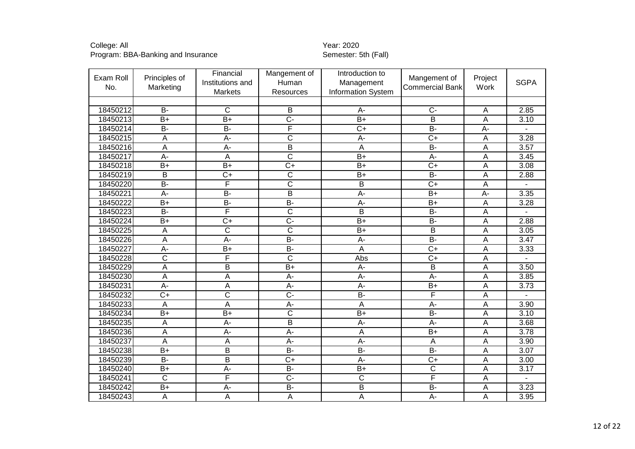| Exam Roll<br>No. | Principles of<br>Marketing | Financial<br>Institutions and<br><b>Markets</b> | Mangement of<br>Human<br>Resources | Introduction to<br>Management<br><b>Information System</b> | Mangement of<br><b>Commercial Bank</b> | Project<br>Work           | <b>SGPA</b>       |
|------------------|----------------------------|-------------------------------------------------|------------------------------------|------------------------------------------------------------|----------------------------------------|---------------------------|-------------------|
|                  |                            |                                                 |                                    |                                                            |                                        |                           |                   |
| 18450212         | $B -$                      | $\overline{C}$                                  | B                                  | A-                                                         | $\overline{C}$                         | A                         | 2.85              |
| 18450213         | $\overline{B+}$            | $\overline{B+}$                                 | $\overline{C}$                     | $\overline{B+}$                                            | $\overline{B}$                         | $\overline{A}$            | 3.10              |
| 18450214         | $\overline{B}$             | $B -$                                           | F                                  | $\overline{C+}$                                            | $\overline{B}$                         | $\overline{A}$ -          |                   |
| 18450215         | $\overline{A}$             | A-                                              | $\overline{\text{c}}$              | $A -$                                                      | $\overline{C}$                         | A                         | 3.28              |
| 18450216         | A                          | $\overline{A}$                                  | $\overline{B}$                     | A                                                          | $\overline{B}$                         | A                         | 3.57              |
| 18450217         | $A -$                      | $\overline{A}$                                  | $\overline{\mathsf{C}}$            | $\overline{B}$                                             | $\overline{A}$ -                       | A                         | 3.45              |
| 18450218         | $\overline{B+}$            | $\overline{B+}$                                 | $\overline{C}$                     | $\overline{B+}$                                            | $\overline{C}$                         | A                         | 3.08              |
| 18450219         | B                          | $\overline{C+}$                                 | $\overline{\mathsf{C}}$            | $\overline{B+}$                                            | $\overline{B}$                         | A                         | 2.88              |
| 18450220         | $\overline{B}$             | F                                               | $\overline{\mathsf{c}}$            | $\overline{B}$                                             | $\overline{C+}$                        | $\boldsymbol{\mathsf{A}}$ |                   |
| 18450221         | $\overline{A}$             | $B -$                                           | $\overline{B}$                     | $A -$                                                      | $\overline{B+}$                        | $\overline{A}$            | 3.35              |
| 18450222         | $\overline{B+}$            | $\overline{B}$                                  | B-                                 | $A -$                                                      | $\overline{B+}$                        | A                         | 3.28              |
| 18450223         | $\overline{B}$             | F                                               | $\overline{\text{c}}$              | $\overline{B}$                                             | $\overline{B}$                         | $\overline{A}$            |                   |
| 18450224         | $B+$                       | $C+$                                            | C-                                 | $B+$                                                       | <b>B-</b>                              | A                         | 2.88              |
| 18450225         | $\overline{A}$             | $\overline{\text{c}}$                           | $\overline{\mathsf{c}}$            | $B+$                                                       | $\overline{\mathsf{B}}$                | $\overline{A}$            | 3.05              |
| 18450226         | A                          | A-                                              | $\overline{B}$                     | A-                                                         | $\overline{B}$                         | $\overline{A}$            | $\overline{3.47}$ |
| 18450227         | $A -$                      | $B+$                                            | B-                                 | A                                                          | $\overline{C}$                         | A                         | 3.33              |
| 18450228         | $\overline{\text{c}}$      | F                                               | $\overline{\text{c}}$              | Abs                                                        | $\overline{C+}$                        | A                         |                   |
| 18450229         | A                          | B                                               | $B+$                               | A-                                                         | B                                      | A                         | 3.50              |
| 18450230         | A                          | $\overline{A}$                                  | $\overline{A}$                     | $\overline{A}$                                             | $\overline{A}$                         | A                         | 3.85              |
| 18450231         | $\overline{A}$             | A                                               | $\overline{A}$ -                   | $\overline{A}$                                             | $\overline{B+}$                        | A                         | 3.73              |
| 18450232         | $\overline{C+}$            | $\overline{\text{c}}$                           | $\overline{C}$                     | $\overline{B}$                                             | F                                      | A                         |                   |
| 18450233         | A                          | $\overline{A}$                                  | $\overline{A}$ -                   | A                                                          | $\overline{A}$                         | A                         | 3.90              |
| 18450234         | $\overline{B+}$            | $\overline{B+}$                                 | $\overline{\text{c}}$              | $B+$                                                       | $\overline{B}$                         | A                         | 3.10              |
| 18450235         | $\boldsymbol{\mathsf{A}}$  | $\overline{A}$                                  | $\overline{B}$                     | $A -$                                                      | $A -$                                  | A                         | 3.68              |
| 18450236         | $\overline{A}$             | $\overline{A}$                                  | $\overline{A}$                     | A                                                          | $B+$                                   | $\overline{A}$            | 3.78              |
| 18450237         | $\overline{A}$             | $\overline{A}$                                  | $A -$                              | $A -$                                                      | A                                      | $\overline{A}$            | 3.90              |
| 18450238         | $B+$                       | $\overline{B}$                                  | B-                                 | $\overline{B}$                                             | $\overline{B}$                         | A                         | 3.07              |
| 18450239         | <b>B-</b>                  | B                                               | $C+$                               | $A -$                                                      | $C+$                                   | A                         | 3.00              |
| 18450240         | $\overline{B+}$            | $A -$                                           | $\overline{B}$                     | $B+$                                                       | $\overline{\text{C}}$                  | A                         | 3.17              |
| 18450241         | $\mathsf{C}$               | F                                               | $\overline{C}$                     | $\mathsf{C}$                                               | F                                      | A                         |                   |
| 18450242         | $\overline{B+}$            | $A -$                                           | B-                                 | B                                                          | $\overline{B}$                         | A                         | 3.23              |
| 18450243         | A                          | $\overline{A}$                                  | $\overline{A}$                     | A                                                          | $\overline{A}$ -                       | A                         | 3.95              |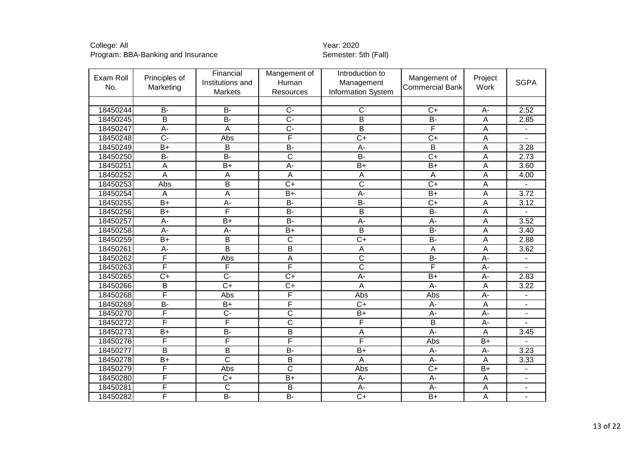| Exam Roll<br>No. | Principles of<br>Marketing | Financial<br>Institutions and<br>Markets | Mangement of<br>Human<br>Resources | Introduction to<br>Management<br><b>Information System</b> | Mangement of<br><b>Commercial Bank</b> | Project<br>Work | <b>SGPA</b>              |
|------------------|----------------------------|------------------------------------------|------------------------------------|------------------------------------------------------------|----------------------------------------|-----------------|--------------------------|
|                  |                            |                                          |                                    |                                                            |                                        |                 |                          |
| 18450244         | <b>B-</b>                  | $\overline{B}$                           | $\overline{C}$                     | $\overline{C}$                                             | $\overline{C}$                         | A-              | 2.52                     |
| 18450245         | B                          | $\overline{B}$                           | $\overline{C}$ -                   | $\overline{B}$                                             | $\overline{B}$                         | A               | 2.85                     |
| 18450247         | $\overline{A}$             | A                                        | $\overline{C}$ -                   | $\overline{B}$                                             | F                                      | A               |                          |
| 18450248         | $\overline{C}$             | Abs                                      | F                                  | $\overline{C+}$                                            | $C+$                                   | A               |                          |
| 18450249         | $\overline{B+}$            | $\overline{\mathsf{B}}$                  | $\overline{B}$                     | $A -$                                                      | $\overline{\mathsf{B}}$                | $\overline{A}$  | 3.28                     |
| 18450250         | $\overline{B}$             | $\overline{B}$                           | $\overline{\text{c}}$              | B-                                                         | $\overline{C+}$                        | A               | 2.73                     |
| 18450251         | A                          | $B+$                                     | A-                                 | $B+$                                                       | $B+$                                   | A               | 3.60                     |
| 18450252         | $\overline{A}$             | Α                                        | A                                  | A                                                          | $\overline{A}$                         | A               | 4.00                     |
| 18450253         | Abs                        | $\overline{\mathsf{B}}$                  | $\overline{C+}$                    | $\overline{\text{c}}$                                      | $\overline{C+}$                        | A               |                          |
| 18450254         | A                          | A                                        | $B+$                               | $\overline{A}$ -                                           | $\overline{B+}$                        | A               | 3.72                     |
| 18450255         | $\overline{B+}$            | $A -$                                    | $\overline{B}$                     | $B -$                                                      | $\overline{C+}$                        | A               | 3.12                     |
| 18450256         | $B+$                       | F                                        | $\overline{B}$                     | B                                                          | <b>B-</b>                              | Α               |                          |
| 18450257         | A-                         | $\overline{B+}$                          | $\overline{B}$                     | $\overline{A}$ -                                           | $A -$                                  | A               | 3.52                     |
| 18450258         | A-                         | A-                                       | $B+$                               | $\overline{B}$                                             | $B -$                                  | A               | 3.40                     |
| 18450259         | $\overline{B+}$            | $\overline{\mathsf{B}}$                  | $\overline{\text{c}}$              | $\overline{C+}$                                            | $\overline{B}$                         | A               | 2.88                     |
| 18450261         | A-                         | $\overline{\mathsf{B}}$                  | $\overline{\mathsf{B}}$            | A                                                          | $\boldsymbol{\mathsf{A}}$              | A               | 3.62                     |
| 18450262         | F                          | Abs                                      | A                                  | $\overline{\mathsf{C}}$                                    | $\overline{B}$                         | A-              |                          |
| 18450263         | F                          | F                                        | F                                  | $\overline{\text{c}}$                                      | F                                      | A-              |                          |
| 18450265         | $\overline{C+}$            | $\overline{C}$                           | $\overline{C+}$                    | A-                                                         | $B+$                                   | A-              | 2.83                     |
| 18450266         | $\overline{B}$             | $\overline{C+}$                          | $\overline{C+}$                    | $\overline{A}$                                             | $A -$                                  | A               | 3.22                     |
| 18450268         | F                          | Abs                                      | F                                  | Abs                                                        | Abs                                    | A-              |                          |
| 18450269         | $\overline{B}$             | $B+$                                     | F                                  | $C+$                                                       | A-                                     | A               |                          |
| 18450270         | F                          | $\overline{C}$                           | $\overline{\text{c}}$              | $\overline{B}$                                             | $\overline{A}$ -                       | A-              |                          |
| 18450272         | F                          | F                                        | $\overline{\text{c}}$              | F                                                          | $\overline{B}$                         | A-              |                          |
| 18450273         | $B+$                       | <b>B-</b>                                | B                                  | A                                                          | $\overline{A}$                         | A               | 3.45                     |
| 18450276         | F                          | F                                        | F                                  | F                                                          | <b>Abs</b>                             | $\overline{B+}$ |                          |
| 18450277         | $\overline{B}$             | B                                        | $\overline{B}$                     | $B+$                                                       | $A-$                                   | A-              | 3.23                     |
| 18450278         | $\overline{B+}$            | $\overline{\text{c}}$                    | $\overline{B}$                     | $\overline{A}$                                             | $\overline{A}$                         | A               | 3.33                     |
| 18450279         | F                          | Abs                                      | $\overline{\text{c}}$              | Abs                                                        | $\overline{C+}$                        | $\overline{B+}$ |                          |
| 18450280         | F                          | $C+$                                     | $B+$                               | A-                                                         | $A -$                                  | A               | $\overline{\phantom{a}}$ |
| 18450281         | F                          | $\overline{C}$                           | B                                  | A-                                                         | $A -$                                  | A               | $\overline{\phantom{a}}$ |
| 18450282         | F                          | $\overline{B}$                           | $B-$                               | $\overline{C}$                                             | $\overline{B+}$                        | $\overline{A}$  | $\overline{\phantom{a}}$ |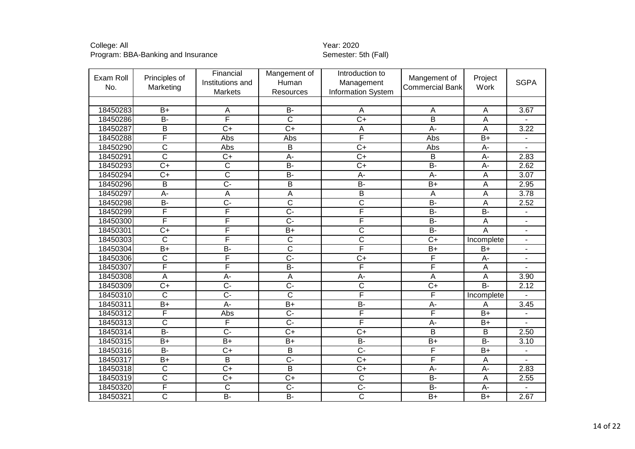| Exam Roll<br>No. | Principles of<br>Marketing | Financial<br>Institutions and<br><b>Markets</b> | Mangement of<br>Human<br>Resources | Introduction to<br>Management<br><b>Information System</b> | Mangement of<br><b>Commercial Bank</b> | Project<br>Work  | <b>SGPA</b>              |
|------------------|----------------------------|-------------------------------------------------|------------------------------------|------------------------------------------------------------|----------------------------------------|------------------|--------------------------|
|                  |                            |                                                 |                                    |                                                            |                                        |                  |                          |
| 18450283         | $B+$                       | $\overline{A}$                                  | <b>B-</b>                          | A                                                          | A                                      | $\overline{A}$   | 3.67                     |
| 18450286         | $\overline{B}$             | F                                               | $\overline{\text{c}}$              | $\overline{C+}$                                            | $\overline{B}$                         | A                |                          |
| 18450287         | B                          | $\overline{C}$                                  | $\overline{C+}$                    | A                                                          | $\overline{A}$                         | A                | 3.22                     |
| 18450288         | F                          | Abs                                             | Abs                                | F                                                          | Abs                                    | $B+$             |                          |
| 18450290         | $\overline{\text{c}}$      | Abs                                             | B                                  | $\overline{C+}$                                            | Abs                                    | $\overline{A}$ - |                          |
| 18450291         | $\overline{\text{c}}$      | $C+$                                            | A-                                 | $\overline{C+}$                                            | $\overline{B}$                         | A-               | 2.83                     |
| 18450293         | $\overline{C+}$            | $\overline{\mathsf{C}}$                         | $\overline{B}$                     | $\overline{C}$                                             | $\overline{B}$                         | A-               | 2.62                     |
| 18450294         | $\overline{C+}$            | $\overline{\text{c}}$                           | $\overline{B}$                     | $\overline{A}$                                             | $\overline{A}$                         | A                | $\overline{3.07}$        |
| 18450296         | $\overline{\mathsf{B}}$    | $\overline{C}$ -                                | $\overline{\mathsf{B}}$            | $\overline{B}$                                             | $\overline{B+}$                        | A                | 2.95                     |
| 18450297         | $\overline{A}$             | A                                               | A                                  | $\overline{B}$                                             | $\boldsymbol{\mathsf{A}}$              | A                | 3.78                     |
| 18450298         | $\overline{B}$             | $\overline{C}$ -                                | $\overline{\text{c}}$              | $\overline{\mathsf{C}}$                                    | $\overline{B}$                         | $\overline{A}$   | 2.52                     |
| 18450299         | F                          | F                                               | $\overline{C}$                     | F                                                          | $B -$                                  | $\overline{B}$   | $\overline{\phantom{a}}$ |
| 18450300         | F                          | F                                               | $\overline{C}$                     | F                                                          | $B -$                                  | $\overline{A}$   |                          |
| 18450301         | $\overline{C+}$            | F                                               | $\overline{B+}$                    | $\overline{\text{c}}$                                      | $\overline{B}$                         | $\overline{A}$   | $\overline{\phantom{a}}$ |
| 18450303         | $\overline{C}$             | F                                               | $\overline{\text{c}}$              | $\overline{\text{c}}$                                      | $\overline{C+}$                        | Incomplete       | $\overline{\phantom{a}}$ |
| 18450304         | $\overline{B+}$            | $B -$                                           | $\overline{\text{c}}$              | F                                                          | $B+$                                   | $B+$             | $\blacksquare$           |
| 18450306         | $\overline{C}$             | F                                               | $\overline{C}$ -                   | $\overline{C}$                                             | F                                      | A-               |                          |
| 18450307         | F                          | F                                               | $\overline{B}$                     | F                                                          | F                                      | A                |                          |
| 18450308         | A                          | A-                                              | A                                  | A-                                                         | $\overline{A}$                         | $\overline{A}$   | 3.90                     |
| 18450309         | $\overline{C+}$            | $\overline{C}$ -                                | $\overline{C}$                     | $\overline{\text{c}}$                                      | $\overline{C+}$                        | $\overline{B}$ - | 2.12                     |
| 18450310         | $\overline{\text{c}}$      | $\overline{C}$ -                                | $\overline{\text{c}}$              | F                                                          | F                                      | Incomplete       |                          |
| 18450311         | $\overline{B+}$            | $\overline{A}$ -                                | $B+$                               | B-                                                         | $A -$                                  | Α                | $\frac{1}{3.45}$         |
| 18450312         | F                          | Abs                                             | $\overline{C}$ -                   | F                                                          | F                                      | $\overline{B+}$  |                          |
| 18450313         | $\overline{C}$             | F                                               | $\overline{C}$                     | F                                                          | $A -$                                  | $\overline{B+}$  |                          |
| 18450314         | $\overline{B}$             | $\overline{C}$                                  | $\overline{C}$                     | $\overline{C+}$                                            | B                                      | B                | 2.50                     |
| 18450315         | $\overline{B+}$            | $B+$                                            | $\overline{B+}$                    | $B -$                                                      | $\overline{B+}$                        | $\overline{B}$   | 3.10                     |
| 18450316         | $\overline{B}$             | $\overline{C}$                                  | B                                  | $\overline{C}$ -                                           | F                                      | $\overline{B+}$  | $\overline{\phantom{m}}$ |
| 18450317         | $B+$                       | B                                               | $\overline{C}$                     | $\overline{C+}$                                            | F                                      | A                |                          |
| 18450318         | $\overline{\text{C}}$      | $\overline{C+}$                                 | $\overline{\mathsf{B}}$            | $\overline{C+}$                                            | $A -$                                  | $\overline{A}$ - | 2.83                     |
| 18450319         | $\overline{\text{c}}$      | $C+$                                            | $C+$                               | $\overline{C}$                                             | <b>B-</b>                              | A                | 2.55                     |
| 18450320         | F                          | $\overline{\mathsf{C}}$                         | $\overline{C}$                     | $\overline{C}$ -                                           | $B -$                                  | A-               |                          |
| 18450321         | $\overline{\text{C}}$      | $\overline{B}$                                  | $\overline{B}$                     | $\overline{\text{c}}$                                      | $\overline{B+}$                        | $\overline{B+}$  | 2.67                     |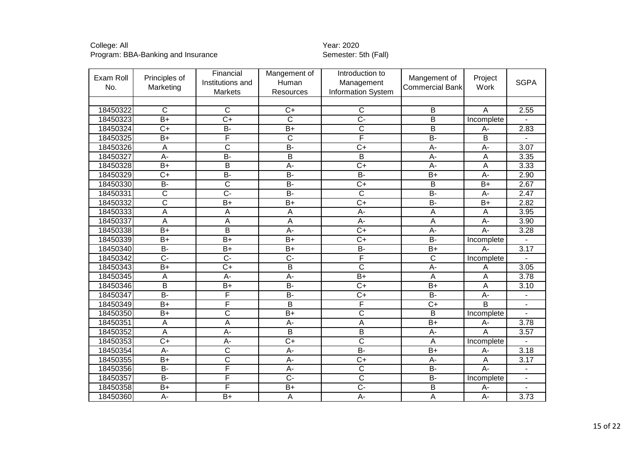| Exam Roll<br>No. | Principles of<br>Marketing | Financial<br>Institutions and<br>Markets | Mangement of<br>Human<br><b>Resources</b> | Introduction to<br>Management<br><b>Information System</b> | Mangement of<br><b>Commercial Bank</b> | Project<br>Work         | <b>SGPA</b>              |
|------------------|----------------------------|------------------------------------------|-------------------------------------------|------------------------------------------------------------|----------------------------------------|-------------------------|--------------------------|
|                  |                            |                                          |                                           |                                                            |                                        |                         |                          |
| 18450322         | $\mathsf{C}$               | $\overline{C}$                           | $C+$                                      | $\mathsf{C}$                                               | B                                      | A                       | 2.55                     |
| 18450323         | $\overline{B+}$            | $\overline{C+}$                          | $\overline{\mathsf{C}}$                   | $\overline{C}$ -                                           | $\overline{\mathsf{B}}$                | Incomplete              |                          |
| 18450324         | $\overline{C+}$            | B-                                       | $B+$                                      | $\overline{\mathrm{C}}$                                    | B                                      | A-                      | 2.83                     |
| 18450325         | $\overline{B+}$            | F                                        | $\overline{C}$                            | F                                                          | $\overline{B}$                         | $\overline{\mathsf{B}}$ |                          |
| 18450326         | $\overline{A}$             | $\overline{\text{c}}$                    | $\overline{B}$                            | $\overline{C+}$                                            | $\overline{A}$                         | $\overline{A}$          | 3.07                     |
| 18450327         | $\overline{A}$             | $\overline{B}$                           | $\overline{B}$                            | $\overline{B}$                                             | $\overline{A}$                         | $\overline{A}$          | 3.35                     |
| 18450328         | $B+$                       | B                                        | A-                                        | $C+$                                                       | A-                                     | A                       | 3.33                     |
| 18450329         | $\overline{C+}$            | $B -$                                    | $\overline{B}$                            | $\overline{B}$                                             | $\overline{B+}$                        | $\overline{A}$          | 2.90                     |
| 18450330         | $\overline{B}$             | $\overline{\text{c}}$                    | <b>B-</b>                                 | $C+$                                                       | B                                      | $B+$                    | 2.67                     |
| 18450331         | $\overline{\text{c}}$      | $\overline{C}$ -                         | $\overline{B}$                            | $\overline{\text{c}}$                                      | $B -$                                  | $A -$                   | 2.47                     |
| 18450332         | $\overline{\text{c}}$      | $B+$                                     | $B+$                                      | $\overline{C+}$                                            | $B -$                                  | $B+$                    | 2.82                     |
| 18450333         | $\overline{A}$             | $\overline{A}$                           | $\mathsf A$                               | $\overline{A}$ -                                           | A                                      | A                       | 3.95                     |
| 18450337         | A                          | A                                        | $\overline{A}$                            | $A -$                                                      | $\overline{A}$                         | $A -$                   | 3.90                     |
| 18450338         | $\overline{B+}$            | $\overline{\mathsf{B}}$                  | $\overline{A}$                            | $\overline{C+}$                                            | $A -$                                  | $A -$                   | 3.28                     |
| 18450339         | $B+$                       | $\overline{B+}$                          | $\overline{B+}$                           | $\overline{C+}$                                            | $\overline{B}$                         | Incomplete              |                          |
| 18450340         | <b>B-</b>                  | $B+$                                     | $B+$                                      | <b>B-</b>                                                  | $B+$                                   | $A -$                   | 3.17                     |
| 18450342         | $\overline{C}$ -           | $\overline{C}$                           | $\overline{C}$                            | F                                                          | $\overline{\mathsf{C}}$                | Incomplete              |                          |
| 18450343         | $\overline{B+}$            | $\overline{C+}$                          | $\overline{B}$                            | $\overline{\text{c}}$                                      | $A -$                                  | A                       | 3.05                     |
| 18450345         | $\overline{A}$             | A-                                       | $\overline{A}$ -                          | $\overline{B+}$                                            | $\overline{A}$                         | A                       | 3.78                     |
| 18450346         | $\overline{B}$             | $\overline{B+}$                          | $\overline{B}$                            | $\overline{C}$                                             | $\overline{B}$                         | Α                       | 3.10                     |
| 18450347         | $\overline{B}$             | F                                        | $\overline{B}$                            | $\overline{C+}$                                            | $\overline{B}$                         | $A -$                   |                          |
| 18450349         | $B+$                       | F                                        | $\overline{B}$                            | F                                                          | $\overline{C}$                         | $\overline{B}$          |                          |
| 18450350         | $\overline{B+}$            | $\overline{\mathsf{c}}$                  | $\overline{B+}$                           | $\overline{\text{c}}$                                      | $\overline{\mathsf{B}}$                | Incomplete              |                          |
| 18450351         | $\overline{A}$             | A                                        | A-                                        | A                                                          | $B+$                                   | $A -$                   | 3.78                     |
| 18450352         | A                          | $\overline{A}$ -                         | $\overline{B}$                            | B                                                          | A-                                     | A                       | 3.57                     |
| 18450353         | $\overline{C+}$            | $\overline{A}$ -                         | $C+$                                      | $\overline{\text{c}}$                                      | A                                      | Incomplete              |                          |
| 18450354         | A-                         | $\overline{C}$                           | A-                                        | $B -$                                                      | $B+$                                   | А-                      | 3.18                     |
| 18450355         | $\overline{B+}$            | $\overline{\text{c}}$                    | $\overline{A}$                            | $\overline{C+}$                                            | $A -$                                  | A                       | 3.17                     |
| 18450356         | $\overline{B}$             | F                                        | $\overline{A}$ -                          | $\overline{\text{c}}$                                      | $B -$                                  | $\overline{A}$ -        |                          |
| 18450357         | <b>B-</b>                  | F                                        | $\overline{C}$                            | $\overline{\text{c}}$                                      | <b>B-</b>                              | Incomplete              | $\overline{\phantom{a}}$ |
| 18450358         | $\overline{B+}$            | F                                        | $B+$                                      | $\overline{C}$                                             | B                                      | $A -$                   |                          |
| 18450360         | A-                         | $\overline{B+}$                          | $\overline{A}$                            | $\overline{A}$ -                                           | A                                      | $\overline{A}$          | 3.73                     |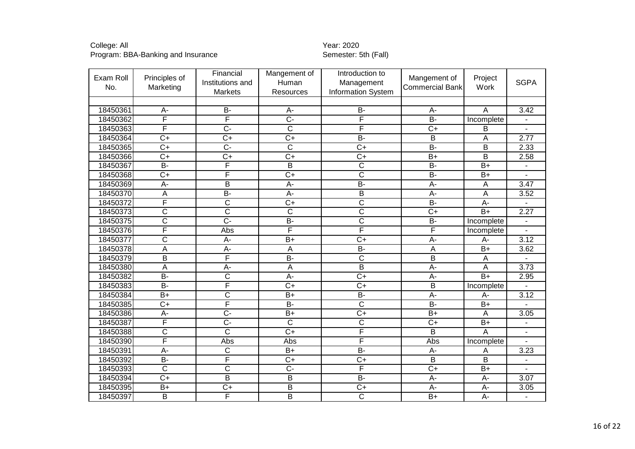| Exam Roll<br>No. | Principles of<br>Marketing | Financial<br>Institutions and<br><b>Markets</b> | Mangement of<br>Human<br>Resources | Introduction to<br>Management<br>Information System | Mangement of<br><b>Commercial Bank</b> | Project<br>Work  | <b>SGPA</b>      |
|------------------|----------------------------|-------------------------------------------------|------------------------------------|-----------------------------------------------------|----------------------------------------|------------------|------------------|
|                  |                            |                                                 |                                    |                                                     |                                        |                  |                  |
| 18450361         | A-                         | B-                                              | A-                                 | <b>B-</b>                                           | A-                                     | A                | 3.42             |
| 18450362         | F                          | F                                               | $\overline{C}$                     | F                                                   | $\overline{B}$                         | Incomplete       |                  |
| 18450363         | F                          | $\overline{C}$ -                                | $\overline{\text{c}}$              | F                                                   | $\overline{C+}$                        | B                |                  |
| 18450364         | $\overline{C}$             | $C+$                                            | $C+$                               | <b>B-</b>                                           | B                                      | A                | 2.77             |
| 18450365         | $\overline{C+}$            | $\overline{C}$                                  | $\overline{\text{c}}$              | $\overline{C+}$                                     | $\overline{B}$                         | $\overline{B}$   | 2.33             |
| 18450366         | $\overline{C}$             | $C+$                                            | $\overline{C+}$                    | $\overline{C+}$                                     | $\overline{B+}$                        | B                | 2.58             |
| 18450367         | $\overline{B}$             | F                                               | $\overline{\mathsf{B}}$            | $\overline{\text{c}}$                               | $\overline{B}$                         | $B+$             |                  |
| 18450368         | $\overline{C+}$            | F                                               | $\overline{C+}$                    | $\overline{\text{c}}$                               | $\overline{B}$                         | $\overline{B+}$  |                  |
| 18450369         | $\overline{A}$             | $\overline{\mathsf{B}}$                         | $\overline{A}$                     | $B -$                                               | $A -$                                  | A                | $\frac{1}{3.47}$ |
| 18450370         | A                          | $B -$                                           | A-                                 | $\overline{B}$                                      | $A -$                                  | A                | 3.52             |
| 18450372         | F                          | $\overline{\text{c}}$                           | $\overline{C+}$                    | $\overline{\mathsf{C}}$                             | $\overline{B}$                         | A-               |                  |
| 18450373         | $\overline{\text{c}}$      | $\overline{\text{c}}$                           | $\overline{C}$                     | $\overline{\text{c}}$                               | $\overline{C+}$                        | $B+$             | 2.27             |
| 18450375         | $\overline{\text{c}}$      | $\overline{C}$ -                                | $\overline{B}$                     | $\overline{\text{c}}$                               | $\overline{B}$                         | Incomplete       |                  |
| 18450376         | F                          | Abs                                             | F                                  | F                                                   | F                                      | Incomplete       |                  |
| 18450377         | $\overline{\text{c}}$      | A-                                              | $B+$                               | $\overline{C+}$                                     | $A -$                                  | A-               | 3.12             |
| 18450378         | A                          | A-                                              | A                                  | <b>B-</b>                                           | A                                      | $\overline{B}$   | 3.62             |
| 18450379         | $\overline{\mathsf{B}}$    | F                                               | $\overline{B}$                     | $\overline{\mathsf{C}}$                             | $\overline{B}$                         | $\overline{A}$   |                  |
| 18450380         | A                          | A-                                              | A                                  | $\overline{B}$                                      | A-                                     | A                | 3.73             |
| 18450382         | $\overline{B}$             | $\overline{\text{c}}$                           | $\overline{A}$ -                   | $\overline{C+}$                                     | $A -$                                  | $\overline{B+}$  | 2.95             |
| 18450383         | $\overline{B}$             | F                                               | $\overline{C+}$                    | $\overline{C+}$                                     | $\overline{B}$                         | Incomplete       |                  |
| 18450384         | $\overline{B+}$            | $\overline{\text{c}}$                           | $\overline{B+}$                    | $B -$                                               | $\overline{A}$                         | A-               | 3.12             |
| 18450385         | $\overline{C+}$            | F                                               | $\overline{B}$                     | $\overline{\text{c}}$                               | $\overline{B}$                         | $\overline{B+}$  |                  |
| 18450386         | $A -$                      | $\overline{C}$ -                                | $\overline{B}$                     | $\overline{C+}$                                     | $\overline{B}$                         | $\overline{A}$   | 3.05             |
| 18450387         | F                          | $\overline{C}$ -                                | $\overline{\mathsf{c}}$            | $\overline{\text{c}}$                               | $\overline{C+}$                        | $\overline{B+}$  |                  |
| 18450388         | $\overline{\text{c}}$      | $\overline{C}$                                  | $\overline{C}$                     | F                                                   | B                                      | $\overline{A}$   |                  |
| 18450390         | F                          | Abs                                             | Abs                                | F                                                   | Abs                                    | Incomplete       |                  |
| 18450391         | $\overline{A}$ -           | $\overline{C}$                                  | $B+$                               | $B -$                                               | A-                                     | A                | 3.23             |
| 18450392         | <b>B-</b>                  | F                                               | $C+$                               | $\overline{C+}$                                     | B                                      | В                |                  |
| 18450393         | $\overline{\text{c}}$      | $\overline{\text{c}}$                           | $\overline{C}$ -                   | F                                                   | $\overline{C+}$                        | $B+$             |                  |
| 18450394         | $C+$                       | B                                               | B                                  | <b>B-</b>                                           | A-                                     | A-               | 3.07             |
| 18450395         | $\overline{B+}$            | $\overline{C+}$                                 | $\overline{\mathsf{B}}$            | $\overline{C+}$                                     | $\overline{A}$                         | A-               | 3.05             |
| 18450397         | $\overline{\mathsf{B}}$    | F                                               | B                                  | $\overline{C}$                                      | $\overline{B+}$                        | $\overline{A}$ - | $\overline{a}$   |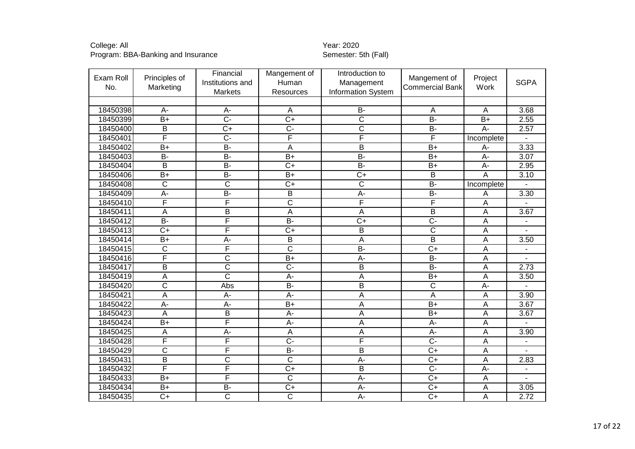| Exam Roll<br>No. | Principles of<br>Marketing | Financial<br>Institutions and<br>Markets | Mangement of<br>Human<br>Resources | Introduction to<br>Management<br><b>Information System</b> | Mangement of<br><b>Commercial Bank</b> | Project<br>Work  | <b>SGPA</b>       |
|------------------|----------------------------|------------------------------------------|------------------------------------|------------------------------------------------------------|----------------------------------------|------------------|-------------------|
|                  |                            |                                          |                                    |                                                            |                                        |                  |                   |
| 18450398         | $A -$                      | A-                                       | $\overline{A}$                     | <b>B-</b>                                                  | $\overline{A}$                         | A                | 3.68              |
| 18450399         | $\overline{B+}$            | $\overline{C}$                           | $\overline{C+}$                    | $\overline{\text{c}}$                                      | $B -$                                  | $\overline{B+}$  | 2.55              |
| 18450400         | $\overline{B}$             | $\overline{C+}$                          | $\overline{C}$                     | $\overline{\text{c}}$                                      | $B -$                                  | $\overline{A}$ - | 2.57              |
| 18450401         | F                          | $\overline{C}$                           | F                                  | F                                                          | F                                      | Incomplete       |                   |
| 18450402         | $\overline{B+}$            | B-                                       | $\overline{A}$                     | $\overline{B}$                                             | $\overline{B}$                         | A-               | 3.33              |
| 18450403         | $B -$                      | $B -$                                    | $\overline{B+}$                    | $\overline{B}$                                             | $\overline{B+}$                        | $\overline{A}$ - | $\overline{3.07}$ |
| 18450404         | B                          | <b>B-</b>                                | $C+$                               | <b>B-</b>                                                  | $B+$                                   | A-               | 2.95              |
| 18450406         | $\overline{B+}$            | $B -$                                    | $B+$                               | $\overline{C+}$                                            | $\overline{B}$                         | A                | 3.10              |
| 18450408         | $\overline{\text{c}}$      | $\overline{\text{c}}$                    | $\overline{C+}$                    | $\overline{\text{c}}$                                      | $B -$                                  | Incomplete       |                   |
| 18450409         | A-                         | $B -$                                    | $\overline{B}$                     | $A -$                                                      | $\overline{B}$                         | A                | 3.30              |
| 18450410         | F                          | F                                        | $\overline{\text{c}}$              | F                                                          | F                                      | Α                |                   |
| 18450411         | A                          | $\overline{B}$                           | $\overline{A}$                     | A                                                          | $\overline{B}$                         | Α                | 3.67              |
| 18450412         | $\overline{B}$             | F                                        | $B -$                              | $\overline{C+}$                                            | $\overline{C}$ -                       | А                |                   |
| 18450413         | $\overline{C+}$            | F                                        | $\overline{C+}$                    | $\overline{B}$                                             | $\overline{\text{c}}$                  | A                |                   |
| 18450414         | $B+$                       | $A -$                                    | $\overline{B}$                     | $\overline{A}$                                             | $\overline{B}$                         | Α                | 3.50              |
| 18450415         | $\overline{\text{c}}$      | F                                        | $\overline{\mathsf{c}}$            | $B -$                                                      | $\overline{C+}$                        | A                |                   |
| 18450416         | F                          | $\overline{\text{c}}$                    | $\overline{B+}$                    | $A -$                                                      | $B -$                                  | A                |                   |
| 18450417         | $\overline{B}$             | $\overline{\text{c}}$                    | $\overline{C}$                     | $\overline{B}$                                             | $\overline{B}$                         | A                | 2.73              |
| 18450419         | A                          | $\overline{\mathsf{c}}$                  | $A -$                              | $\overline{A}$                                             | $B+$                                   | A                | 3.50              |
| 18450420         | $\overline{\text{c}}$      | Abs                                      | $\overline{B}$                     | $\overline{\mathsf{B}}$                                    | $\overline{\text{c}}$                  | A-               |                   |
| 18450421         | $\overline{\mathsf{A}}$    | $\overline{A}$                           | $A -$                              | $\overline{A}$                                             | $\overline{\mathsf{A}}$                | A                | 3.90              |
| 18450422         | A-                         | $A -$                                    | $\overline{B+}$                    | A                                                          | $\overline{B+}$                        | Α                | 3.67              |
| 18450423         | A                          | $\overline{B}$                           | $A -$                              | $\overline{A}$                                             | $\overline{B+}$                        | Α                | $\overline{3.67}$ |
| 18450424         | $B+$                       | F                                        | $A -$                              | $\overline{A}$                                             | A-                                     | Α                |                   |
| 18450425         | A                          | $\overline{A}$                           | $\overline{A}$                     | $\overline{A}$                                             | A-                                     | Α                | 3.90              |
| 18450428         | F                          | F                                        | $\overline{C}$ -                   | F                                                          | $\overline{C}$                         | Α                | $\blacksquare$    |
| 18450429         | $\overline{\text{c}}$      | F                                        | $\overline{B}$                     | $\overline{B}$                                             | $\overline{C+}$                        | A                |                   |
| 18450431         | $\overline{B}$             | $\overline{C}$                           | $\overline{C}$                     | A-                                                         | $\overline{C}$                         | A                | 2.83              |
| 18450432         | F                          | F                                        | $\overline{C+}$                    | $\overline{B}$                                             | $\overline{C}$                         | $A -$            |                   |
| 18450433         | $\overline{B+}$            | F                                        | $\overline{\mathsf{C}}$            | $\overline{A}$                                             | $\overline{C}$                         | A                |                   |
| 18450434         | $B+$                       | <b>B-</b>                                | $C+$                               | A-                                                         | $\overline{C+}$                        | A                | 3.05              |
| 18450435         | $\overline{C+}$            | $\overline{\text{c}}$                    | $\overline{\text{c}}$              | $\overline{A}$ -                                           | $\overline{C+}$                        | A                | 2.72              |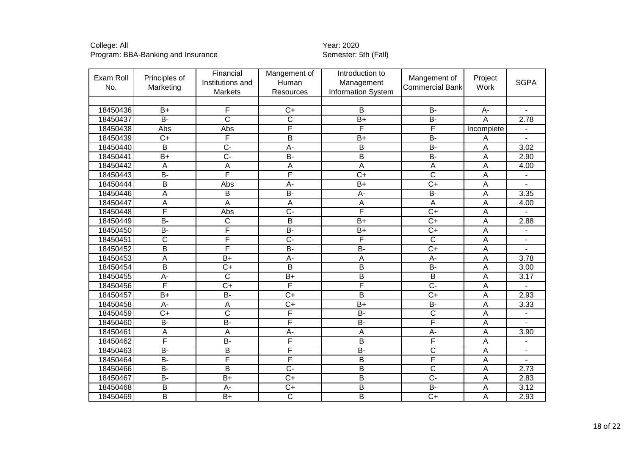| Exam Roll<br>No. | Principles of<br>Marketing | Financial<br>Institutions and<br><b>Markets</b> | Mangement of<br>Human<br>Resources | Introduction to<br>Management<br><b>Information System</b> | Mangement of<br><b>Commercial Bank</b> | Project<br>Work           | <b>SGPA</b>                  |
|------------------|----------------------------|-------------------------------------------------|------------------------------------|------------------------------------------------------------|----------------------------------------|---------------------------|------------------------------|
|                  |                            |                                                 |                                    |                                                            |                                        |                           |                              |
| 18450436         | $B+$                       | F                                               | $\overline{C}$                     | B                                                          | $\overline{B}$                         | A-                        |                              |
| 18450437         | $\overline{B}$             | $\overline{\text{c}}$                           | $\overline{\mathsf{C}}$            | $\overline{B+}$                                            | $\overline{B}$                         | A                         | 2.78                         |
| 18450438         | Abs                        | Abs                                             | F                                  | F                                                          | F                                      | Incomplete                | $\blacksquare$               |
| 18450439         | $C+$                       | F                                               | B                                  | $B+$                                                       | <b>B-</b>                              | A                         |                              |
| 18450440         | B                          | $\overline{C}$ -                                | $A -$                              | $\overline{B}$                                             | $B -$                                  | $\overline{A}$            | 3.02                         |
| 18450441         | $\overline{B+}$            | $\overline{C}$ -                                | $\overline{B}$                     | $\overline{B}$                                             | $\overline{B}$                         | Α                         | 2.90                         |
| 18450442         | A                          | A                                               | A                                  | A                                                          | $\mathsf{A}$                           | A                         | 4.00                         |
| 18450443         | $\overline{B}$             | F                                               | F                                  | $\overline{C+}$                                            | $\overline{\text{c}}$                  | A                         |                              |
| 18450444         | $\overline{\mathsf{B}}$    | Abs                                             | $\overline{A}$                     | $B+$                                                       | $\overline{C+}$                        | A                         |                              |
| 18450446         | A                          | B                                               | $\overline{B}$                     | $A-$                                                       | $B -$                                  | A                         | 3.35                         |
| 18450447         | A                          | A                                               | А                                  | $\overline{A}$                                             | A                                      | Α                         | 4.00                         |
| 18450448         | F                          | Abs                                             | $\overline{C}$                     | F                                                          | $\overline{C+}$                        | $\overline{A}$            |                              |
| 18450449         | $\overline{B}$             | C                                               | B                                  | $\overline{B+}$                                            | $\overline{C+}$                        | $\overline{A}$            | 2.88                         |
| 18450450         | $\overline{B}$             | F                                               | $\overline{B}$                     | $B+$                                                       | $\overline{C+}$                        | A                         | $\overline{\phantom{a}}$     |
| 18450451         | $\overline{C}$             | F                                               | $\overline{C}$                     | F                                                          | $\overline{\text{c}}$                  | Α                         |                              |
| 18450452         | B                          | F                                               | $\overline{B}$                     | B-                                                         | $\overline{C+}$                        | $\overline{A}$            |                              |
| 18450453         | Α                          | $\overline{B+}$                                 | $\overline{A}$ -                   | $\overline{A}$                                             | A-                                     | A                         | 3.78                         |
| 18450454         | B                          | $C+$                                            | B                                  | $\overline{B}$                                             | <b>B-</b>                              | A                         | 3.00                         |
| 18450455         | $\overline{A}$ -           | $\overline{\mathsf{C}}$                         | $B+$                               | $\overline{B}$                                             | B                                      | A                         | 3.17                         |
| 18450456         | F                          | $\overline{C}$                                  | F                                  | F                                                          | $\overline{C}$ -                       | A                         |                              |
| 18450457         | $\overline{B+}$            | $B -$                                           | $\overline{C}$                     | $\overline{B}$                                             | $\overline{C+}$                        | A                         | 2.93                         |
| 18450458         | $\overline{A}$             | A                                               | $\overline{C}$                     | $\overline{B+}$                                            | <b>B-</b>                              | A                         | 3.33                         |
| 18450459         | $\overline{C}$             | $\overline{\text{c}}$                           | F                                  | $B -$                                                      | $\overline{\text{c}}$                  | $\overline{A}$            |                              |
| 18450460         | $\overline{B}$             | $\overline{B}$                                  | F                                  | $\overline{B}$                                             | F                                      | A                         |                              |
| 18450461         | A                          | A                                               | A-                                 | $\mathsf{A}$                                               | $A -$                                  | A                         | 3.90                         |
| 18450462         | F                          | $\overline{B}$                                  | F                                  | $\overline{B}$                                             | F                                      | Α                         | $\qquad \qquad \blacksquare$ |
| 18450463         | $\overline{B}$             | B                                               | F                                  | $B -$                                                      | $\overline{\text{c}}$                  | $\boldsymbol{\mathsf{A}}$ |                              |
| 18450464         | <b>B-</b>                  | F                                               | F                                  | $\overline{B}$                                             | $\overline{\mathsf{F}}$                | $\overline{A}$            |                              |
| 18450466         | $\overline{B}$             | В                                               | $\overline{C}$ -                   | $\overline{B}$                                             | $\overline{\text{c}}$                  | A                         | 2.73                         |
| 18450467         | <b>B-</b>                  | $B+$                                            | $C+$                               | $\mathsf B$                                                | $\overline{C}$                         | A                         | 2.83                         |
| 18450468         | B                          | A-                                              | $\overline{C+}$                    | $\overline{B}$                                             | $B -$                                  | $\overline{A}$            | 3.12                         |
| 18450469         | $\overline{\mathsf{B}}$    | $\overline{B+}$                                 | $\overline{\text{c}}$              | $\overline{B}$                                             | $\overline{C+}$                        | A                         | 2.93                         |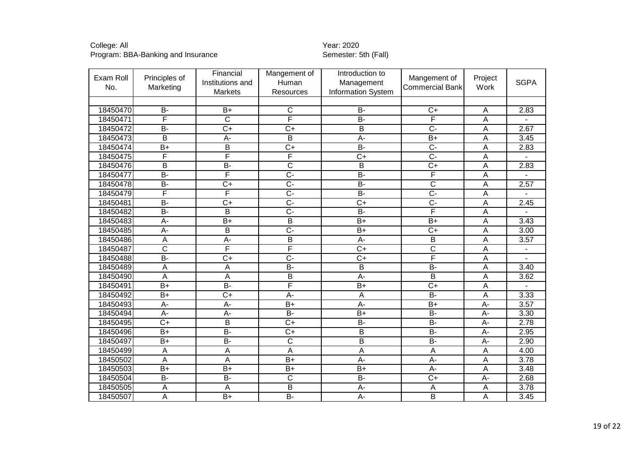| Exam Roll<br>No. | Principles of<br>Marketing | Financial<br>Institutions and<br>Markets | Mangement of<br>Human<br>Resources | Introduction to<br>Management<br><b>Information System</b> | Mangement of<br><b>Commercial Bank</b> | Project<br>Work  | <b>SGPA</b> |
|------------------|----------------------------|------------------------------------------|------------------------------------|------------------------------------------------------------|----------------------------------------|------------------|-------------|
|                  |                            |                                          |                                    |                                                            |                                        |                  |             |
| 18450470         | $\overline{B}$             | $B+$                                     | $\overline{C}$                     | <b>B-</b>                                                  | $\overline{C+}$                        | A                | 2.83        |
| 18450471         | F                          | $\overline{\text{c}}$                    | F                                  | $B -$                                                      | F                                      | A                |             |
| 18450472         | $\overline{B}$             | $\overline{C+}$                          | $\overline{C+}$                    | $\overline{\mathsf{B}}$                                    | $\overline{C}$                         | A                | 2.67        |
| 18450473         | B                          | A-                                       | B                                  | $A -$                                                      | $B+$                                   | A                | 3.45        |
| 18450474         | $\overline{B+}$            | $\overline{B}$                           | $\overline{C+}$                    | $B -$                                                      | $\overline{C}$                         | A                | 2.83        |
| 18450475         | F                          | F                                        | F                                  | $\overline{C+}$                                            | <del>.</del>                           | A                |             |
| 18450476         | B                          | B-                                       | $\overline{\mathsf{C}}$            | B                                                          | $\overline{C+}$                        | A                | 2.83        |
| 18450477         | $\overline{B}$             | F                                        | $\overline{C}$                     | $B -$                                                      | F                                      | Α                |             |
| 18450478         | $\overline{B}$             | $\overline{C+}$                          | $\overline{C}$                     | $B -$                                                      | $\overline{\text{c}}$                  | $\mathsf A$      | 2.57        |
| 18450479         | $\overline{\mathsf{F}}$    | F                                        | $\overline{C}$                     | $B -$                                                      | $\overline{C}$                         | A                |             |
| 18450481         | $\overline{B}$             | $\overline{C+}$                          | $\overline{C}$ -                   | $\overline{C+}$                                            | $\overline{C}$                         | A                | 2.45        |
| 18450482         | $\overline{B}$             | $\overline{B}$                           | $\overline{C}$ -                   | $B -$                                                      | F                                      | A                |             |
| 18450483         | A-                         | $B+$                                     | B                                  | $\overline{B+}$                                            | $B+$                                   | A                | 3.43        |
| 18450485         | $\overline{A}$ -           | $\overline{B}$                           | $\overline{C}$ -                   | $\overline{B+}$                                            | $\overline{C}$                         | Α                | 3.00        |
| 18450486         | $\overline{A}$             | $\overline{A}$ -                         | $\overline{B}$                     | $\overline{A}$ -                                           | $\overline{\mathsf{B}}$                | A                | 3.57        |
| 18450487         | $\overline{\text{c}}$      | F                                        | F                                  | $\overline{C}$                                             | $\overline{\text{C}}$                  | A                |             |
| 18450488         | $\overline{B}$             | $\overline{C+}$                          | $\overline{C}$                     | $\overline{C+}$                                            | F                                      | A                |             |
| 18450489         | A                          | $\mathsf{A}$                             | $B -$                              | B                                                          | $\overline{B}$                         | A                | 3.40        |
| 18450490         | $\overline{A}$             | $\overline{A}$                           | B                                  | $\overline{A}$ -                                           | B                                      | A                | 3.62        |
| 18450491         | $\overline{B+}$            | $\overline{B}$                           | F                                  | $\overline{B+}$                                            | $\overline{C+}$                        | A                |             |
| 18450492         | $\overline{B+}$            | $\overline{C+}$                          | $A -$                              | A                                                          | $\overline{B}$                         | A                | 3.33        |
| 18450493         | $\overline{A}$ -           | $\overline{A}$ -                         | $\overline{B+}$                    | $A -$                                                      | $B+$                                   | A-               | 3.57        |
| 18450494         | $\overline{A}$             | $\overline{A}$ -                         | $B -$                              | $\overline{B+}$                                            | $\overline{B}$                         | $\overline{A}$ - | 3.30        |
| 18450495         | $\overline{C}$             | $\overline{B}$                           | $\overline{C}$                     | $B -$                                                      | $\overline{B}$                         | $\overline{A}$   | 2.78        |
| 18450496         | $\overline{B+}$            | $B -$                                    | $\overline{C}$                     | $\overline{\mathsf{B}}$                                    | $\overline{B}$                         | A-               | 2.95        |
| 18450497         | $B+$                       | B-                                       | $\overline{\mathsf{C}}$            | B                                                          | $\overline{B}$                         | $A -$            | 2.90        |
| 18450499         | $\mathsf{A}$               | $\overline{A}$                           | $\overline{A}$                     | $\overline{\mathsf{A}}$                                    | A                                      | A                | 4.00        |
| 18450502         | A                          | A                                        | $\overline{B+}$                    | $A -$                                                      | A-                                     | A                | 3.78        |
| 18450503         | $\overline{B+}$            | $B+$                                     | $B+$                               | $\overline{B+}$                                            | A-                                     | Α                | 3.48        |
| 18450504         | <b>B-</b>                  | <b>B-</b>                                | $\mathsf{C}$                       | <b>B-</b>                                                  | $C+$                                   | $A-$             | 2.68        |
| 18450505         | A                          | $\mathsf{A}$                             | $\overline{B}$                     | $A -$                                                      | Α                                      | A                | 3.78        |
| 18450507         | A                          | $B+$                                     | $B -$                              | $\overline{A}$ -                                           | B                                      | A                | 3.45        |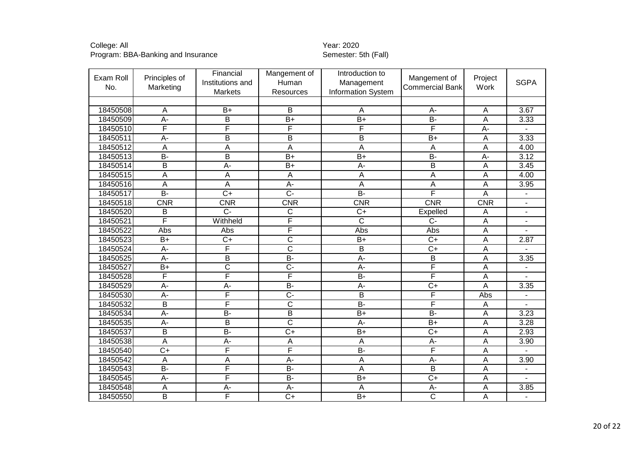| Exam Roll<br>No. | Principles of<br>Marketing | Financial<br>Institutions and<br><b>Markets</b> | Mangement of<br>Human<br><b>Resources</b> | Introduction to<br>Management<br><b>Information System</b> | Mangement of<br><b>Commercial Bank</b> | Project<br>Work | <b>SGPA</b>    |
|------------------|----------------------------|-------------------------------------------------|-------------------------------------------|------------------------------------------------------------|----------------------------------------|-----------------|----------------|
|                  |                            |                                                 |                                           |                                                            |                                        |                 |                |
| 18450508         | A                          | $B+$                                            | B                                         | $\overline{A}$                                             | A-                                     | Α               | 3.67           |
| 18450509         | $\overline{A}$ -           | $\overline{B}$                                  | $B+$                                      | $\overline{B+}$                                            | $B -$                                  | A               | 3.33           |
| 18450510         | F                          | F                                               | F                                         | F                                                          | F                                      | $\overline{A}$  |                |
| 18450511         | $\overline{A}$             | B                                               | B                                         | B                                                          | $B+$                                   | A               | 3.33           |
| 18450512         | A                          | A                                               | A                                         | $\overline{A}$                                             | A                                      | A               | 4.00           |
| 18450513         | $\overline{B}$             | $\overline{B}$                                  | $\overline{B+}$                           | $\overline{B+}$                                            | $\overline{B}$                         | $\overline{A}$  | 3.12           |
| 18450514         | $\overline{B}$             | $\overline{A}$ -                                | $\overline{B+}$                           | $\overline{A}$                                             | $\overline{B}$                         | A               | 3.45           |
| 18450515         | $\overline{A}$             | A                                               | A                                         | $\overline{A}$                                             | $\overline{A}$                         | A               | 4.00           |
| 18450516         | A                          | A                                               | $\overline{A}$ -                          | $\overline{A}$                                             | $\overline{A}$                         | A               | 3.95           |
| 18450517         | $\overline{B}$             | $\overline{C+}$                                 | $\overline{C}$ -                          | $\overline{B}$                                             | F                                      | A               |                |
| 18450518         | CNR                        | CNR                                             | CNR                                       | CNR                                                        | <b>CNR</b>                             | CNR             |                |
| 18450520         | $\sf B$                    | $\overline{C}$                                  | C                                         | $\overline{C+}$                                            | Expelled                               | A               | $\blacksquare$ |
| 18450521         | F                          | Withheld                                        | F                                         | C                                                          | $C -$                                  | A               | ÷,             |
| 18450522         | Abs                        | Abs                                             | F                                         | Abs                                                        | Abs                                    | Ā               |                |
| 18450523         | $B+$                       | $\overline{C+}$                                 | C                                         | $B+$                                                       | $\overline{C+}$                        | A               | 2.87           |
| 18450524         | A-                         | F                                               | C                                         | B                                                          | $C+$                                   | A               |                |
| 18450525         | $\overline{A}$             | $\overline{B}$                                  | $\overline{B}$                            | $\overline{A}$ -                                           | $\overline{B}$                         | A               | 3.35           |
| 18450527         | $\overline{B+}$            | $\overline{\text{c}}$                           | $\overline{C}$                            | $\overline{A}$ -                                           | F                                      | A               |                |
| 18450528         | F                          | F                                               | F                                         | $B -$                                                      | F                                      | A               |                |
| 18450529         | $\overline{A}$             | A-                                              | $\overline{B}$                            | $\overline{A}$ -                                           | $\overline{C+}$                        | A               | 3.35           |
| 18450530         | A-                         | F                                               | $\overline{C}$                            | B                                                          | F                                      | Abs             |                |
| 18450532         | $\overline{B}$             | F                                               | $\overline{\text{c}}$                     | $B -$                                                      | F                                      | A               |                |
| 18450534         | $A -$                      | $B -$                                           | $\overline{\mathsf{B}}$                   | $\overline{B+}$                                            | $\overline{B}$                         | A               | 3.23           |
| 18450535         | $\overline{A}$ -           | $\overline{B}$                                  | $\overline{\text{c}}$                     | $\overline{A}$ -                                           | $\overline{B+}$                        | Α               | 3.28           |
| 18450537         | $\overline{B}$             | $B -$                                           | $\overline{C+}$                           | $B+$                                                       | $\overline{C}$                         | A               | 2.93           |
| 18450538         | $\overline{\mathsf{A}}$    | $A -$                                           | A                                         | $\overline{A}$                                             | $\overline{A}$                         | A               | 3.90           |
| 18450540         | $\overline{C+}$            | F                                               | F                                         | $B -$                                                      | F                                      | A               |                |
| 18450542         | A                          | Α                                               | A-                                        | A                                                          | $A -$                                  | A               | 3.90           |
| 18450543         | $\overline{B}$             | F                                               | $B-$                                      | $\overline{A}$                                             | $\overline{B}$                         | A               | $\overline{a}$ |
| 18450545         | A-                         | F                                               | <b>B-</b>                                 | $B+$                                                       | $C+$                                   | Α               |                |
| 18450548         | A                          | A-                                              | A-                                        | A                                                          | $A -$                                  | A               | 3.85           |
| 18450550         | $\overline{B}$             | F                                               | $\overline{C+}$                           | $B+$                                                       | $\overline{\text{c}}$                  | Ā               | $\blacksquare$ |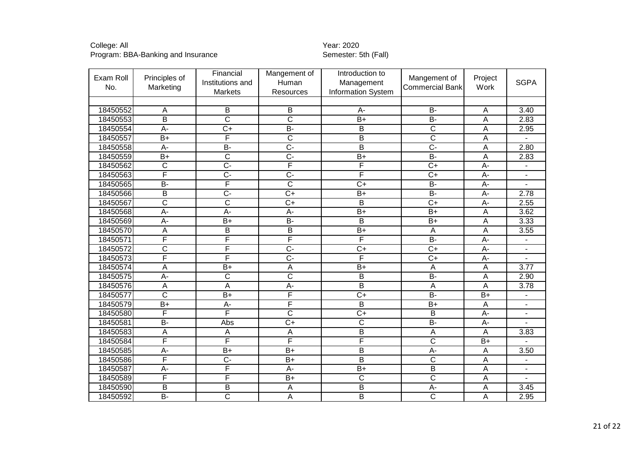| Exam Roll<br>No. | Principles of<br>Marketing | Financial<br>Institutions and<br>Markets | Mangement of<br>Human<br>Resources | Introduction to<br>Management<br>Information System | Mangement of<br><b>Commercial Bank</b> | Project<br>Work  | <b>SGPA</b> |
|------------------|----------------------------|------------------------------------------|------------------------------------|-----------------------------------------------------|----------------------------------------|------------------|-------------|
|                  |                            |                                          |                                    |                                                     |                                        |                  |             |
| 18450552         | A                          | B                                        | B                                  | A-                                                  | $\overline{B}$                         | A                | 3.40        |
| 18450553         | B                          | $\overline{\text{c}}$                    | $\overline{\text{c}}$              | $\overline{B+}$                                     | <b>B-</b>                              | A                | 2.83        |
| 18450554         | $\overline{A}$             | $\overline{C+}$                          | $\overline{B}$                     | $\overline{B}$                                      | $\overline{\mathsf{C}}$                | A                | 2.95        |
| 18450557         | $B+$                       | F                                        | $\overline{C}$                     | B                                                   | $\overline{C}$                         | A                |             |
| 18450558         | $\overline{A}$ -           | $B -$                                    | $\overline{C}$ -                   | $\overline{\mathsf{B}}$                             | $\overline{C}$                         | A                | 2.80        |
| 18450559         | $\overline{B+}$            | $\overline{\text{c}}$                    | $\overline{C}$ -                   | $\overline{B+}$                                     | $B -$                                  | A                | 2.83        |
| 18450562         | $\overline{C}$             | $\overline{C}$                           | F                                  | F                                                   | $C+$                                   | A-               |             |
| 18450563         | F                          | $\overline{C}$ -                         | $\overline{C}$ -                   | F                                                   | $\overline{C+}$                        | $A -$            |             |
| 18450565         | $\overline{B}$             | F                                        | $\overline{C}$                     | $C+$                                                | <b>B-</b>                              | A-               |             |
| 18450566         | $\overline{B}$             | $\overline{C}$                           | $\overline{C+}$                    | $\overline{B+}$                                     | $B -$                                  | A-               | 2.78        |
| 18450567         | $\overline{\text{c}}$      | $\overline{\text{c}}$                    | $\overline{C+}$                    | $\overline{B}$                                      | $\overline{C+}$                        | A-               | 2.55        |
| 18450568         | $\overline{A}$             | $\overline{A}$                           | $A -$                              | $\overline{B+}$                                     | $B+$                                   | A                | 3.62        |
| 18450569         | $A -$                      | $B+$                                     | $\overline{B}$                     | B                                                   | $B+$                                   | A                | 3.33        |
| 18450570         | $\overline{A}$             | $\overline{B}$                           | $\overline{B}$                     | $B+$                                                | A                                      | Α                | 3.55        |
| 18450571         | F                          | F                                        | F                                  | F                                                   | $B -$                                  | $\overline{A}$   |             |
| 18450572         | $\overline{\mathsf{C}}$    | F                                        | $\overline{C}$                     | $\overline{C}$                                      | $\overline{C}$                         | A-               |             |
| 18450573         | F                          | F                                        | $\overline{C}$ -                   | F                                                   | $\overline{C+}$                        | $\overline{A}$ - |             |
| 18450574         | A                          | $\overline{B+}$                          | $\overline{A}$                     | $B+$                                                | $\overline{A}$                         | A                | 3.77        |
| 18450575         | $\overline{A}$             | $\overline{\text{c}}$                    | $\overline{\text{c}}$              | B                                                   | $B -$                                  | A                | 2.90        |
| 18450576         | A                          | A                                        | A-                                 | $\overline{B}$                                      | $\overline{A}$                         | Α                | 3.78        |
| 18450577         | $\overline{\mathsf{c}}$    | $\overline{B+}$                          | F                                  | $\overline{C+}$                                     | $\overline{B}$                         | $\overline{B+}$  |             |
| 18450579         | $\overline{B+}$            | A-                                       | F                                  | B                                                   | $B+$                                   | A                |             |
| 18450580         | F                          | F                                        | $\overline{\text{c}}$              | $\overline{C+}$                                     | $\overline{B}$                         | $\overline{A}$ - |             |
| 18450581         | $B -$                      | Abs                                      | $\overline{C+}$                    | $\overline{\text{c}}$                               | $B -$                                  | A-               |             |
| 18450583         | $\mathsf A$                | A                                        | $\overline{A}$                     | $\overline{B}$                                      | $\overline{A}$                         | A                | 3.83        |
| 18450584         | F                          | F                                        | F                                  | $\overline{\mathsf{F}}$                             | $\overline{\text{c}}$                  | $\overline{B+}$  |             |
| 18450585         | $A -$                      | $B+$                                     | $B+$                               | B                                                   | $A -$                                  | Α                | 3.50        |
| 18450586         | F                          | $\overline{C}$                           | $B+$                               | $\overline{B}$                                      | $\overline{\text{c}}$                  | A                |             |
| 18450587         | $\overline{A}$             | F                                        | A-                                 | $\overline{B+}$                                     | $\overline{B}$                         | Α                |             |
| 18450589         | F                          | F                                        | $B+$                               | $\overline{\text{c}}$                               | $\overline{\text{c}}$                  | Α                |             |
| 18450590         | B                          | B                                        | A                                  | $\overline{B}$                                      | $\overline{A}$                         | A                | 3.45        |
| 18450592         | $\overline{B}$             | $\overline{\text{c}}$                    | A                                  | $\overline{B}$                                      | $\overline{\text{c}}$                  | A                | 2.95        |